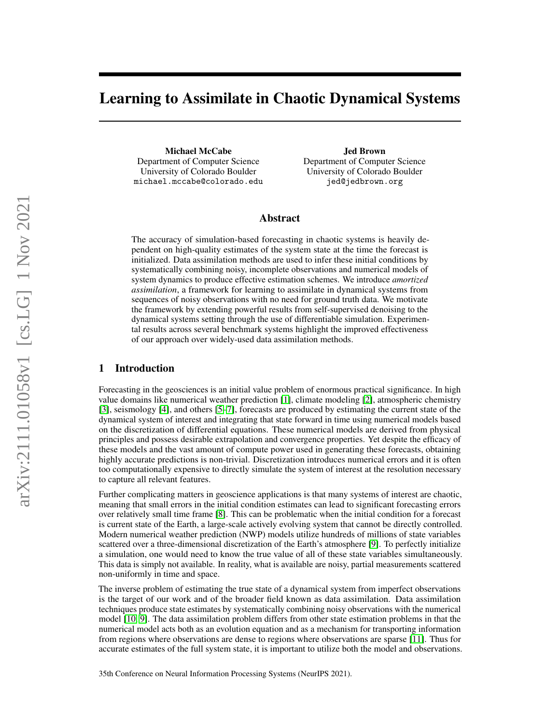# Learning to Assimilate in Chaotic Dynamical Systems

Michael McCabe Department of Computer Science University of Colorado Boulder michael.mccabe@colorado.edu

Jed Brown Department of Computer Science University of Colorado Boulder jed@jedbrown.org

## Abstract

The accuracy of simulation-based forecasting in chaotic systems is heavily dependent on high-quality estimates of the system state at the time the forecast is initialized. Data assimilation methods are used to infer these initial conditions by systematically combining noisy, incomplete observations and numerical models of system dynamics to produce effective estimation schemes. We introduce *amortized assimilation*, a framework for learning to assimilate in dynamical systems from sequences of noisy observations with no need for ground truth data. We motivate the framework by extending powerful results from self-supervised denoising to the dynamical systems setting through the use of differentiable simulation. Experimental results across several benchmark systems highlight the improved effectiveness of our approach over widely-used data assimilation methods.

## 1 Introduction

Forecasting in the geosciences is an initial value problem of enormous practical significance. In high value domains like numerical weather prediction [\[1\]](#page-9-0), climate modeling [\[2\]](#page-9-1), atmospheric chemistry [\[3\]](#page-9-2), seismology [\[4\]](#page-9-3), and others [\[5](#page-10-0)[–7\]](#page-10-1), forecasts are produced by estimating the current state of the dynamical system of interest and integrating that state forward in time using numerical models based on the discretization of differential equations. These numerical models are derived from physical principles and possess desirable extrapolation and convergence properties. Yet despite the efficacy of these models and the vast amount of compute power used in generating these forecasts, obtaining highly accurate predictions is non-trivial. Discretization introduces numerical errors and it is often too computationally expensive to directly simulate the system of interest at the resolution necessary to capture all relevant features.

Further complicating matters in geoscience applications is that many systems of interest are chaotic, meaning that small errors in the initial condition estimates can lead to significant forecasting errors over relatively small time frame [\[8\]](#page-10-2). This can be problematic when the initial condition for a forecast is current state of the Earth, a large-scale actively evolving system that cannot be directly controlled. Modern numerical weather prediction (NWP) models utilize hundreds of millions of state variables scattered over a three-dimensional discretization of the Earth's atmosphere [\[9\]](#page-10-3). To perfectly initialize a simulation, one would need to know the true value of all of these state variables simultaneously. This data is simply not available. In reality, what is available are noisy, partial measurements scattered non-uniformly in time and space.

The inverse problem of estimating the true state of a dynamical system from imperfect observations is the target of our work and of the broader field known as data assimilation. Data assimilation techniques produce state estimates by systematically combining noisy observations with the numerical model [\[10,](#page-10-4) [9\]](#page-10-3). The data assimilation problem differs from other state estimation problems in that the numerical model acts both as an evolution equation and as a mechanism for transporting information from regions where observations are dense to regions where observations are sparse [\[11\]](#page-10-5). Thus for accurate estimates of the full system state, it is important to utilize both the model and observations.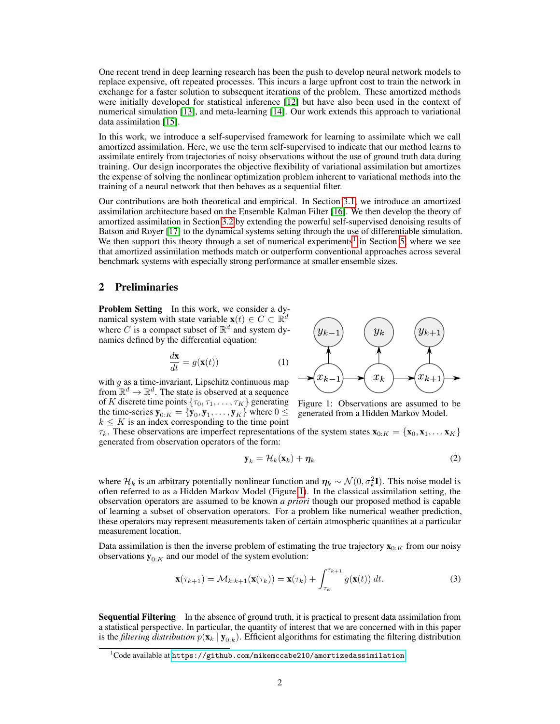One recent trend in deep learning research has been the push to develop neural network models to replace expensive, oft repeated processes. This incurs a large upfront cost to train the network in exchange for a faster solution to subsequent iterations of the problem. These amortized methods were initially developed for statistical inference [\[12\]](#page-10-6) but have also been used in the context of numerical simulation [\[13\]](#page-10-7), and meta-learning [\[14\]](#page-10-8). Our work extends this approach to variational data assimilation [\[15\]](#page-10-9).

In this work, we introduce a self-supervised framework for learning to assimilate which we call amortized assimilation. Here, we use the term self-supervised to indicate that our method learns to assimilate entirely from trajectories of noisy observations without the use of ground truth data during training. Our design incorporates the objective flexibility of variational assimilation but amortizes the expense of solving the nonlinear optimization problem inherent to variational methods into the training of a neural network that then behaves as a sequential filter.

Our contributions are both theoretical and empirical. In Section [3.1,](#page-3-0) we introduce an amortized assimilation architecture based on the Ensemble Kalman Filter [\[16\]](#page-10-10). We then develop the theory of amortized assimilation in Section [3.2](#page-4-0) by extending the powerful self-supervised denoising results of Batson and Royer [\[17\]](#page-10-11) to the dynamical systems setting through the use of differentiable simulation. We then support this theory through a set of numerical experiments<sup>[1](#page-1-0)</sup> in Section [5,](#page-6-0) where we see that amortized assimilation methods match or outperform conventional approaches across several benchmark systems with especially strong performance at smaller ensemble sizes.

## 2 Preliminaries

<span id="page-1-2"></span>Problem Setting In this work, we consider a dynamical system with state variable  $\mathbf{x}(t) \in C \subset \mathbb{R}^d$ where C is a compact subset of  $\mathbb{R}^d$  and system dynamics defined by the differential equation:

$$
\frac{d\mathbf{x}}{dt} = g(\mathbf{x}(t))\tag{1}
$$

with  $g$  as a time-invariant, Lipschitz continuous map from  $\mathbb{R}^d \to \mathbb{R}^d$ . The state is observed at a sequence of K discrete time points  $\{\tau_0, \tau_1, \ldots, \tau_K\}$  generating the time-series  $\mathbf{y}_{0:K} = \{\mathbf{y}_0, \mathbf{y}_1, \dots, \mathbf{y}_K\}$  where  $0 \leq$  $k \leq K$  is an index corresponding to the time point

<span id="page-1-1"></span>

Figure 1: Observations are assumed to be generated from a Hidden Markov Model.

 $\tau_k$ . These observations are imperfect representations of the system states  $\mathbf{x}_{0:K} = {\mathbf{x}_0, \mathbf{x}_1, \dots, \mathbf{x}_K}$ generated from observation operators of the form:

$$
\mathbf{y}_k = \mathcal{H}_k(\mathbf{x}_k) + \boldsymbol{\eta}_k \tag{2}
$$

where  $\mathcal{H}_k$  is an arbitrary potentially nonlinear function and  $\eta_k \sim \mathcal{N}(0, \sigma_k^2 \mathbf{I})$ . This noise model is often referred to as a Hidden Markov Model (Figure [1\)](#page-1-1). In the classical assimilation setting, the observation operators are assumed to be known *a priori* though our proposed method is capable of learning a subset of observation operators. For a problem like numerical weather prediction, these operators may represent measurements taken of certain atmospheric quantities at a particular measurement location.

Data assimilation is then the inverse problem of estimating the true trajectory  $\mathbf{x}_{0:K}$  from our noisy observations  $y_{0:K}$  and our model of the system evolution:

$$
\mathbf{x}(\tau_{k+1}) = \mathcal{M}_{k:k+1}(\mathbf{x}(\tau_k)) = \mathbf{x}(\tau_k) + \int_{\tau_k}^{\tau_{k+1}} g(\mathbf{x}(t)) dt.
$$
 (3)

Sequential Filtering In the absence of ground truth, it is practical to present data assimilation from a statistical perspective. In particular, the quantity of interest that we are concerned with in this paper is the *filtering distribution*  $p(\mathbf{x}_k | \mathbf{y}_{0:k})$ . Efficient algorithms for estimating the filtering distribution

<span id="page-1-0"></span> $^1$ Code available at <code><https://github.com/mikemccabe210/amortizedassimilation>.</code>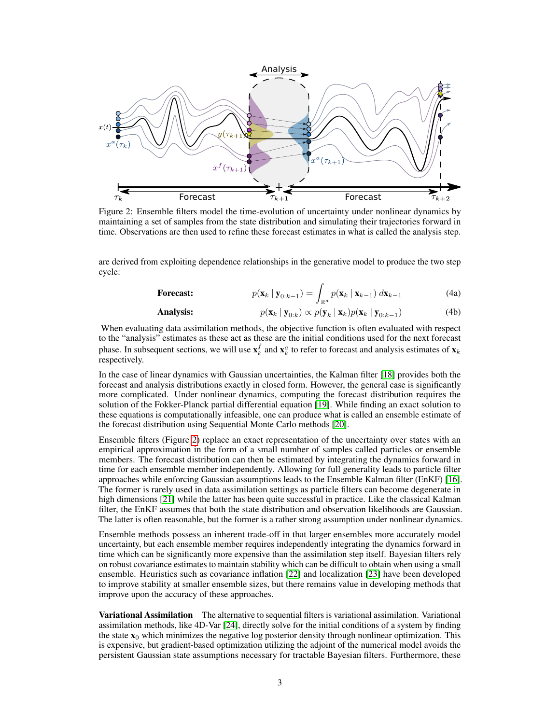<span id="page-2-0"></span>

Figure 2: Ensemble filters model the time-evolution of uncertainty under nonlinear dynamics by maintaining a set of samples from the state distribution and simulating their trajectories forward in time. Observations are then used to refine these forecast estimates in what is called the analysis step.

are derived from exploiting dependence relationships in the generative model to produce the two step cycle:

**Forecast:** 
$$
p(\mathbf{x}_k \mid \mathbf{y}_{0:k-1}) = \int_{\mathbb{R}^d} p(\mathbf{x}_k \mid \mathbf{x}_{k-1}) \, d\mathbf{x}_{k-1}
$$
(4a)

**Analysis:** 
$$
p(\mathbf{x}_k | \mathbf{y}_{0:k}) \propto p(\mathbf{y}_k | \mathbf{x}_k) p(\mathbf{x}_k | \mathbf{y}_{0:k-1})
$$
(4b)

When evaluating data assimilation methods, the objective function is often evaluated with respect to the "analysis" estimates as these act as these are the initial conditions used for the next forecast phase. In subsequent sections, we will use  $\mathbf{x}_k^f$  and  $\mathbf{x}_k^a$  to refer to forecast and analysis estimates of  $\mathbf{x}_k$ respectively.

In the case of linear dynamics with Gaussian uncertainties, the Kalman filter [\[18\]](#page-10-12) provides both the forecast and analysis distributions exactly in closed form. However, the general case is significantly more complicated. Under nonlinear dynamics, computing the forecast distribution requires the solution of the Fokker-Planck partial differential equation [\[19\]](#page-10-13). While finding an exact solution to these equations is computationally infeasible, one can produce what is called an ensemble estimate of the forecast distribution using Sequential Monte Carlo methods [\[20\]](#page-10-14).

Ensemble filters (Figure [2\)](#page-2-0) replace an exact representation of the uncertainty over states with an empirical approximation in the form of a small number of samples called particles or ensemble members. The forecast distribution can then be estimated by integrating the dynamics forward in time for each ensemble member independently. Allowing for full generality leads to particle filter approaches while enforcing Gaussian assumptions leads to the Ensemble Kalman filter (EnKF) [\[16\]](#page-10-10). The former is rarely used in data assimilation settings as particle filters can become degenerate in high dimensions [\[21\]](#page-10-15) while the latter has been quite successful in practice. Like the classical Kalman filter, the EnKF assumes that both the state distribution and observation likelihoods are Gaussian. The latter is often reasonable, but the former is a rather strong assumption under nonlinear dynamics.

Ensemble methods possess an inherent trade-off in that larger ensembles more accurately model uncertainty, but each ensemble member requires independently integrating the dynamics forward in time which can be significantly more expensive than the assimilation step itself. Bayesian filters rely on robust covariance estimates to maintain stability which can be difficult to obtain when using a small ensemble. Heuristics such as covariance inflation [\[22\]](#page-11-0) and localization [\[23\]](#page-11-1) have been developed to improve stability at smaller ensemble sizes, but there remains value in developing methods that improve upon the accuracy of these approaches.

Variational Assimilation The alternative to sequential filters is variational assimilation. Variational assimilation methods, like 4D-Var [\[24\]](#page-11-2), directly solve for the initial conditions of a system by finding the state  $x_0$  which minimizes the negative log posterior density through nonlinear optimization. This is expensive, but gradient-based optimization utilizing the adjoint of the numerical model avoids the persistent Gaussian state assumptions necessary for tractable Bayesian filters. Furthermore, these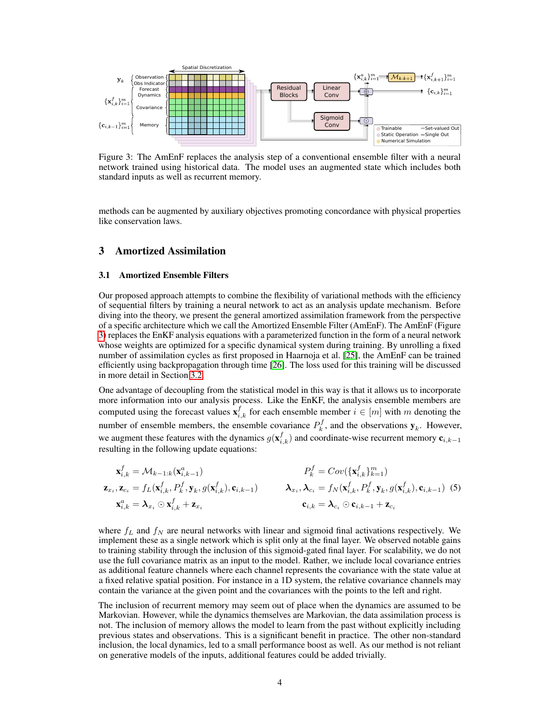<span id="page-3-1"></span>

Figure 3: The AmEnF replaces the analysis step of a conventional ensemble filter with a neural network trained using historical data. The model uses an augmented state which includes both standard inputs as well as recurrent memory.

methods can be augmented by auxiliary objectives promoting concordance with physical properties like conservation laws.

## 3 Amortized Assimilation

#### <span id="page-3-0"></span>3.1 Amortized Ensemble Filters

Our proposed approach attempts to combine the flexibility of variational methods with the efficiency of sequential filters by training a neural network to act as an analysis update mechanism. Before diving into the theory, we present the general amortized assimilation framework from the perspective of a specific architecture which we call the Amortized Ensemble Filter (AmEnF). The AmEnF (Figure [3\)](#page-3-1) replaces the EnKF analysis equations with a parameterized function in the form of a neural network whose weights are optimized for a specific dynamical system during training. By unrolling a fixed number of assimilation cycles as first proposed in Haarnoja et al. [\[25\]](#page-11-3), the AmEnF can be trained efficiently using backpropagation through time [\[26\]](#page-11-4). The loss used for this training will be discussed in more detail in Section [3.2.](#page-4-0)

One advantage of decoupling from the statistical model in this way is that it allows us to incorporate more information into our analysis process. Like the EnKF, the analysis ensemble members are computed using the forecast values  $\mathbf{x}_{i,k}^f$  for each ensemble member  $i \in [m]$  with m denoting the number of ensemble members, the ensemble covariance  $P_k^f$ , and the observations  $y_k$ . However, we augment these features with the dynamics  $g(\mathbf{x}_{i,k}^f)$  and coordinate-wise recurrent memory  $\mathbf{c}_{i,k-1}$ resulting in the following update equations:

$$
\mathbf{x}_{i,k}^f = \mathcal{M}_{k-1:k}(\mathbf{x}_{i,k-1}^a)
$$
\n
$$
\mathbf{z}_{x_i}, \mathbf{z}_{c_i} = f_L(\mathbf{x}_{i,k}^f, P_k^f, \mathbf{y}_k, g(\mathbf{x}_{i,k}^f), \mathbf{c}_{i,k-1})
$$
\n
$$
\mathbf{z}_{x_i}, \mathbf{z}_{c_i} = f_L(\mathbf{x}_{i,k}^f, P_k^f, \mathbf{y}_k, g(\mathbf{x}_{i,k}^f), \mathbf{c}_{i,k-1})
$$
\n
$$
\mathbf{x}_{i,k}^a = \lambda_{x_i} \odot \mathbf{x}_{i,k}^f + \mathbf{z}_{x_i}
$$
\n
$$
\mathbf{z}_{i,k} = \lambda_{c_i} \odot \mathbf{c}_{i,k-1} + \mathbf{z}_{c_i}
$$
\n
$$
\mathbf{z}_{i,k} = \lambda_{c_i} \odot \mathbf{c}_{i,k-1} + \mathbf{z}_{c_i}
$$

where  $f_L$  and  $f_N$  are neural networks with linear and sigmoid final activations respectively. We implement these as a single network which is split only at the final layer. We observed notable gains to training stability through the inclusion of this sigmoid-gated final layer. For scalability, we do not use the full covariance matrix as an input to the model. Rather, we include local covariance entries as additional feature channels where each channel represents the covariance with the state value at a fixed relative spatial position. For instance in a 1D system, the relative covariance channels may contain the variance at the given point and the covariances with the points to the left and right.

The inclusion of recurrent memory may seem out of place when the dynamics are assumed to be Markovian. However, while the dynamics themselves are Markovian, the data assimilation process is not. The inclusion of memory allows the model to learn from the past without explicitly including previous states and observations. This is a significant benefit in practice. The other non-standard inclusion, the local dynamics, led to a small performance boost as well. As our method is not reliant on generative models of the inputs, additional features could be added trivially.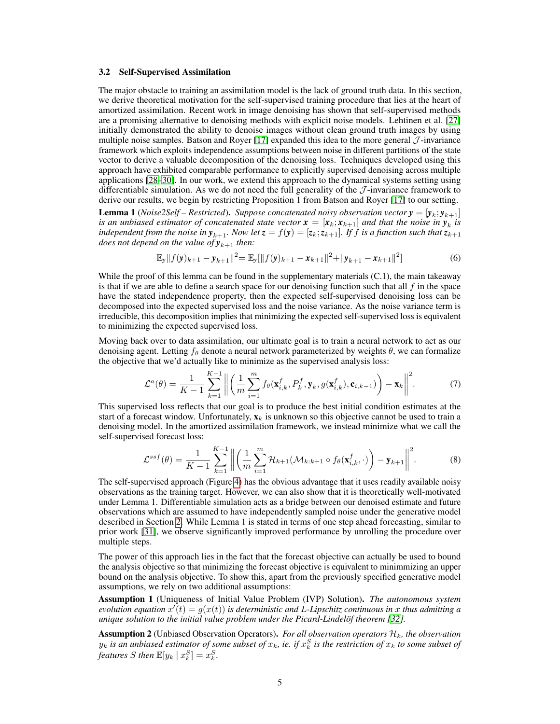#### <span id="page-4-0"></span>3.2 Self-Supervised Assimilation

The major obstacle to training an assimilation model is the lack of ground truth data. In this section, we derive theoretical motivation for the self-supervised training procedure that lies at the heart of amortized assimilation. Recent work in image denoising has shown that self-supervised methods are a promising alternative to denoising methods with explicit noise models. Lehtinen et al. [\[27\]](#page-11-5) initially demonstrated the ability to denoise images without clean ground truth images by using multiple noise samples. Batson and Royer  $[17]$  expanded this idea to the more general  $J$ -invariance framework which exploits independence assumptions between noise in different partitions of the state vector to derive a valuable decomposition of the denoising loss. Techniques developed using this approach have exhibited comparable performance to explicitly supervised denoising across multiple applications [\[28](#page-11-6)[–30\]](#page-11-7). In our work, we extend this approach to the dynamical systems setting using differentiable simulation. As we do not need the full generality of the  $\mathcal{J}$ -invariance framework to derive our results, we begin by restricting Proposition 1 from Batson and Royer [\[17\]](#page-10-11) to our setting.

**Lemma 1** (*Noise2Self* – Restricted). Suppose concatenated noisy observation vector  $y = [y_k; y_{k+1}]$ *is an unbiased estimator of concatenated state vector*  $\mathbf{x} = [\mathbf{x}_k; \mathbf{x}_{k+1}]$  and that the noise in  $\mathbf{y}_k$  is *independent from the noise in*  $y_{k+1}$ *. Now let*  $z = f(y) = [z_k; z_{k+1}]$ *. If f is a function such that*  $z_{k+1}$ *does not depend on the value of*  $y_{k+1}$  *then:* 

$$
\mathbb{E}_{\mathbf{y}}||f(\mathbf{y})_{k+1} - \mathbf{y}_{k+1}||^2 = \mathbb{E}_{\mathbf{y}}[||f(\mathbf{y})_{k+1} - \mathbf{x}_{k+1}||^2 + ||\mathbf{y}_{k+1} - \mathbf{x}_{k+1}||^2]
$$
(6)

While the proof of this lemma can be found in the supplementary materials  $(C.1)$ , the main takeaway is that if we are able to define a search space for our denoising function such that all  $f$  in the space have the stated independence property, then the expected self-supervised denoising loss can be decomposed into the expected supervised loss and the noise variance. As the noise variance term is irreducible, this decomposition implies that minimizing the expected self-supervised loss is equivalent to minimizing the expected supervised loss.

Moving back over to data assimilation, our ultimate goal is to train a neural network to act as our denoising agent. Letting  $f_\theta$  denote a neural network parameterized by weights  $\theta$ , we can formalize the objective that we'd actually like to minimize as the supervised analysis loss:

$$
\mathcal{L}^a(\theta) = \frac{1}{K-1} \sum_{k=1}^{K-1} \left\| \left( \frac{1}{m} \sum_{i=1}^m f_\theta(\mathbf{x}_{i,k}^f, P_k^f, \mathbf{y}_k, g(\mathbf{x}_{i,k}^f), \mathbf{c}_{i,k-1}) \right) - \mathbf{x}_k \right\|^2.
$$
 (7)

This supervised loss reflects that our goal is to produce the best initial condition estimates at the start of a forecast window. Unfortunately,  $\mathbf{x}_k$  is unknown so this objective cannot be used to train a denoising model. In the amortized assimilation framework, we instead minimize what we call the self-supervised forecast loss:

$$
\mathcal{L}^{ssf}(\theta) = \frac{1}{K-1} \sum_{k=1}^{K-1} \left\| \left( \frac{1}{m} \sum_{i=1}^{m} \mathcal{H}_{k+1}(\mathcal{M}_{k:k+1} \circ f_{\theta}(\mathbf{x}_{i,k}^f, \cdot) \right) - \mathbf{y}_{k+1} \right\|^2.
$$
 (8)

The self-supervised approach (Figure [4\)](#page-5-0) has the obvious advantage that it uses readily available noisy observations as the training target. However, we can also show that it is theoretically well-motivated under Lemma 1. Differentiable simulation acts as a bridge between our denoised estimate and future observations which are assumed to have independently sampled noise under the generative model described in Section [2.](#page-1-2) While Lemma 1 is stated in terms of one step ahead forecasting, similar to prior work [\[31\]](#page-11-8), we observe significantly improved performance by unrolling the procedure over multiple steps.

The power of this approach lies in the fact that the forecast objective can actually be used to bound the analysis objective so that minimizing the forecast objective is equivalent to minimmizing an upper bound on the analysis objective. To show this, apart from the previously specified generative model assumptions, we rely on two additional assumptions:

Assumption 1 (Uniqueness of Initial Value Problem (IVP) Solution). *The autonomous system evolution equation*  $x'(t) = g(x(t))$  *is deterministic and L-Lipschitz continuous in* x *thus admitting a unique solution to the initial value problem under the Picard-Lindelöf theorem [\[32\]](#page-11-9)*.

**Assumption 2** (Unbiased Observation Operators). *For all observation operators*  $\mathcal{H}_k$ *, the observation*  $y_k$  is an unbiased estimator of some subset of  $x_k$ , ie. if  $x_k^S$  is the restriction of  $x_k$  to some subset of *features S then*  $\mathbb{E}[y_k | x_k^S] = x_k^S$ .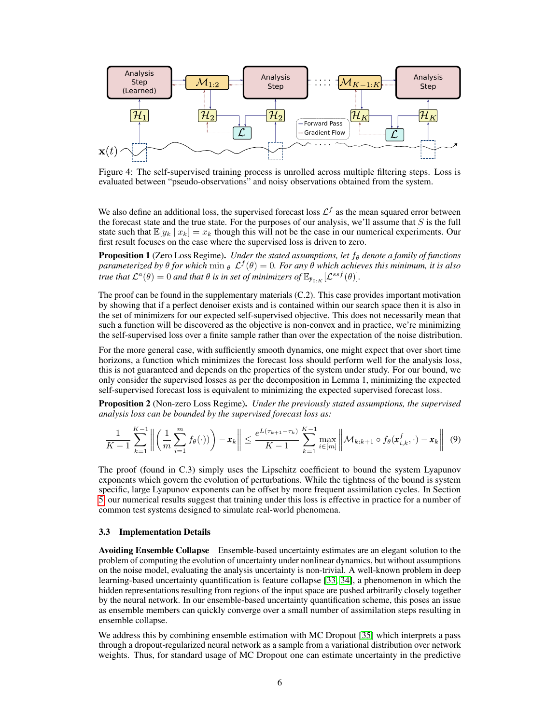<span id="page-5-0"></span>

Figure 4: The self-supervised training process is unrolled across multiple filtering steps. Loss is evaluated between "pseudo-observations" and noisy observations obtained from the system.

We also define an additional loss, the supervised forecast loss  $\mathcal{L}^f$  as the mean squared error between the forecast state and the true state. For the purposes of our analysis, we'll assume that  $S$  is the full state such that  $\mathbb{E}[y_k | x_k] = x_k$  though this will not be the case in our numerical experiments. Our first result focuses on the case where the supervised loss is driven to zero.

Proposition 1 (Zero Loss Regime). *Under the stated assumptions, let*  $f_{\theta}$  *denote a family of functions*  $\alpha$ *parameterized by*  $\theta$  *for which*  $\min_{\theta} \mathcal{L}^f(\theta) = 0$ . For any  $\hat{\theta}$  which achieves this minimum, it is also *true that*  $\mathcal{L}^a(\theta) = 0$  *and that*  $\theta$  *is in set of minimizers of*  $\mathbb{E}_{y_{0:K}}[\mathcal{L}^{ssf}(\theta)].$ 

The proof can be found in the supplementary materials (C.2). This case provides important motivation by showing that if a perfect denoiser exists and is contained within our search space then it is also in the set of minimizers for our expected self-supervised objective. This does not necessarily mean that such a function will be discovered as the objective is non-convex and in practice, we're minimizing the self-supervised loss over a finite sample rather than over the expectation of the noise distribution.

For the more general case, with sufficiently smooth dynamics, one might expect that over short time horizons, a function which minimizes the forecast loss should perform well for the analysis loss, this is not guaranteed and depends on the properties of the system under study. For our bound, we only consider the supervised losses as per the decomposition in Lemma 1, minimizing the expected self-supervised forecast loss is equivalent to minimizing the expected supervised forecast loss.

Proposition 2 (Non-zero Loss Regime). *Under the previously stated assumptions, the supervised analysis loss can be bounded by the supervised forecast loss as:*

$$
\frac{1}{K-1}\sum_{k=1}^{K-1}\left\|\left(\frac{1}{m}\sum_{i=1}^m f_{\theta}(\cdot)\right)\right)-\mathbf{x}_k\right\| \le \frac{e^{L(\tau_{k+1}-\tau_k)}}{K-1}\sum_{k=1}^{K-1}\max_{i\in[m]}\left\|\mathcal{M}_{k:k+1}\circ f_{\theta}(\mathbf{x}_{i,k}^f,\cdot)-\mathbf{x}_k\right\|\tag{9}
$$

The proof (found in C.3) simply uses the Lipschitz coefficient to bound the system Lyapunov exponents which govern the evolution of perturbations. While the tightness of the bound is system specific, large Lyapunov exponents can be offset by more frequent assimilation cycles. In Section [5,](#page-6-0) our numerical results suggest that training under this loss is effective in practice for a number of common test systems designed to simulate real-world phenomena.

#### 3.3 Implementation Details

Avoiding Ensemble Collapse Ensemble-based uncertainty estimates are an elegant solution to the problem of computing the evolution of uncertainty under nonlinear dynamics, but without assumptions on the noise model, evaluating the analysis uncertainty is non-trivial. A well-known problem in deep learning-based uncertainty quantification is feature collapse [\[33,](#page-11-10) [34\]](#page-11-11), a phenomenon in which the hidden representations resulting from regions of the input space are pushed arbitrarily closely together by the neural network. In our ensemble-based uncertainty quantification scheme, this poses an issue as ensemble members can quickly converge over a small number of assimilation steps resulting in ensemble collapse.

We address this by combining ensemble estimation with MC Dropout [\[35\]](#page-11-12) which interprets a pass through a dropout-regularized neural network as a sample from a variational distribution over network weights. Thus, for standard usage of MC Dropout one can estimate uncertainty in the predictive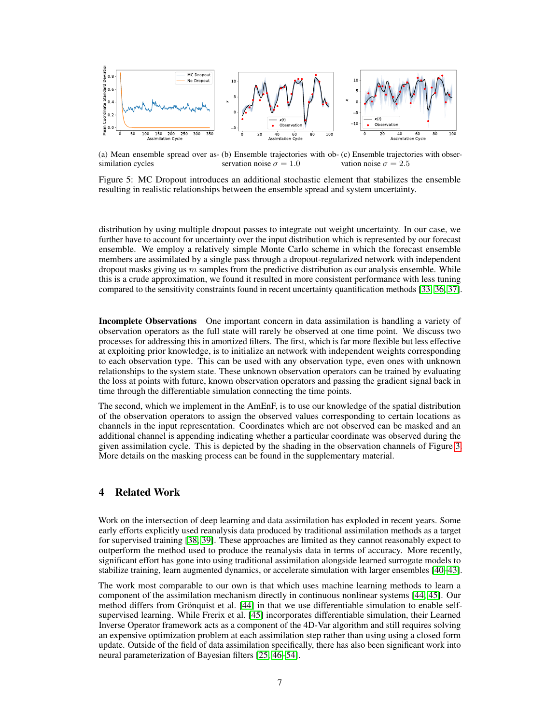<span id="page-6-0"></span>

(a) Mean ensemble spread over as- (b) Ensemble trajectories with ob- (c) Ensemble trajectories with obsersimilation cycles servation noise  $\sigma = 1.0$ vation noise  $\sigma = 2.5$ 

Figure 5: MC Dropout introduces an additional stochastic element that stabilizes the ensemble resulting in realistic relationships between the ensemble spread and system uncertainty.

distribution by using multiple dropout passes to integrate out weight uncertainty. In our case, we further have to account for uncertainty over the input distribution which is represented by our forecast ensemble. We employ a relatively simple Monte Carlo scheme in which the forecast ensemble members are assimilated by a single pass through a dropout-regularized network with independent dropout masks giving us  $m$  samples from the predictive distribution as our analysis ensemble. While this is a crude approximation, we found it resulted in more consistent performance with less tuning compared to the sensitivity constraints found in recent uncertainty quantification methods [\[33,](#page-11-10) [36,](#page-12-0) [37\]](#page-12-1).

Incomplete Observations One important concern in data assimilation is handling a variety of observation operators as the full state will rarely be observed at one time point. We discuss two processes for addressing this in amortized filters. The first, which is far more flexible but less effective at exploiting prior knowledge, is to initialize an network with independent weights corresponding to each observation type. This can be used with any observation type, even ones with unknown relationships to the system state. These unknown observation operators can be trained by evaluating the loss at points with future, known observation operators and passing the gradient signal back in time through the differentiable simulation connecting the time points.

The second, which we implement in the AmEnF, is to use our knowledge of the spatial distribution of the observation operators to assign the observed values corresponding to certain locations as channels in the input representation. Coordinates which are not observed can be masked and an additional channel is appending indicating whether a particular coordinate was observed during the given assimilation cycle. This is depicted by the shading in the observation channels of Figure [3.](#page-3-1) More details on the masking process can be found in the supplementary material.

## 4 Related Work

Work on the intersection of deep learning and data assimilation has exploded in recent years. Some early efforts explicitly used reanalysis data produced by traditional assimilation methods as a target for supervised training [\[38,](#page-12-2) [39\]](#page-12-3). These approaches are limited as they cannot reasonably expect to outperform the method used to produce the reanalysis data in terms of accuracy. More recently, significant effort has gone into using traditional assimilation alongside learned surrogate models to stabilize training, learn augmented dynamics, or accelerate simulation with larger ensembles [\[40](#page-12-4)[–43\]](#page-12-5).

The work most comparable to our own is that which uses machine learning methods to learn a component of the assimilation mechanism directly in continuous nonlinear systems [\[44,](#page-12-6) [45\]](#page-12-7). Our method differs from Grönquist et al. [\[44\]](#page-12-6) in that we use differentiable simulation to enable selfsupervised learning. While Frerix et al. [\[45\]](#page-12-7) incorporates differentiable simulation, their Learned Inverse Operator framework acts as a component of the 4D-Var algorithm and still requires solving an expensive optimization problem at each assimilation step rather than using using a closed form update. Outside of the field of data assimilation specifically, there has also been significant work into neural parameterization of Bayesian filters [\[25,](#page-11-3) [46](#page-12-8)[–54\]](#page-13-0).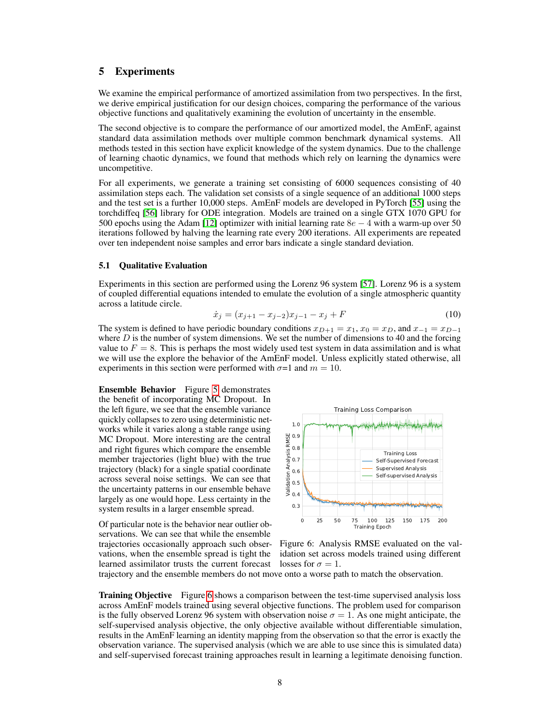## 5 Experiments

We examine the empirical performance of amortized assimilation from two perspectives. In the first, we derive empirical justification for our design choices, comparing the performance of the various objective functions and qualitatively examining the evolution of uncertainty in the ensemble.

The second objective is to compare the performance of our amortized model, the AmEnF, against standard data assimilation methods over multiple common benchmark dynamical systems. All methods tested in this section have explicit knowledge of the system dynamics. Due to the challenge of learning chaotic dynamics, we found that methods which rely on learning the dynamics were uncompetitive.

For all experiments, we generate a training set consisting of 6000 sequences consisting of 40 assimilation steps each. The validation set consists of a single sequence of an additional 1000 steps and the test set is a further 10,000 steps. AmEnF models are developed in PyTorch [\[55\]](#page-13-1) using the torchdiffeq [\[56\]](#page-13-2) library for ODE integration. Models are trained on a single GTX 1070 GPU for 500 epochs using the Adam [\[12\]](#page-10-6) optimizer with initial learning rate  $8e - 4$  with a warm-up over 50 iterations followed by halving the learning rate every 200 iterations. All experiments are repeated over ten independent noise samples and error bars indicate a single standard deviation.

#### 5.1 Qualitative Evaluation

Experiments in this section are performed using the Lorenz 96 system [\[57\]](#page-13-3). Lorenz 96 is a system of coupled differential equations intended to emulate the evolution of a single atmospheric quantity across a latitude circle.

$$
\dot{x}_j = (x_{j+1} - x_{j-2})x_{j-1} - x_j + F \tag{10}
$$

The system is defined to have periodic boundary conditions  $x_{D+1} = x_1, x_0 = x_D$ , and  $x_{-1} = x_{D-1}$ where  $D$  is the number of system dimensions. We set the number of dimensions to 40 and the forcing value to  $F = 8$ . This is perhaps the most widely used test system in data assimilation and is what we will use the explore the behavior of the AmEnF model. Unless explicitly stated otherwise, all experiments in this section were performed with  $\sigma$ =1 and  $m = 10$ .

Ensemble Behavior Figure [5](#page-6-0) demonstrates the benefit of incorporating MC Dropout. In the left figure, we see that the ensemble variance quickly collapses to zero using deterministic networks while it varies along a stable range using MC Dropout. More interesting are the central and right figures which compare the ensemble member trajectories (light blue) with the true trajectory (black) for a single spatial coordinate across several noise settings. We can see that the uncertainty patterns in our ensemble behave largely as one would hope. Less certainty in the system results in a larger ensemble spread.

Of particular note is the behavior near outlier observations. We can see that while the ensemble trajectories occasionally approach such observations, when the ensemble spread is tight the learned assimilator trusts the current forecast

<span id="page-7-0"></span>

Figure 6: Analysis RMSE evaluated on the validation set across models trained using different losses for  $\sigma = 1$ .

trajectory and the ensemble members do not move onto a worse path to match the observation.

**Training Objective** Figure [6](#page-7-0) shows a comparison between the test-time supervised analysis loss across AmEnF models trained using several objective functions. The problem used for comparison is the fully observed Lorenz 96 system with observation noise  $\sigma = 1$ . As one might anticipate, the self-supervised analysis objective, the only objective available without differentiable simulation, results in the AmEnF learning an identity mapping from the observation so that the error is exactly the observation variance. The supervised analysis (which we are able to use since this is simulated data) and self-supervised forecast training approaches result in learning a legitimate denoising function.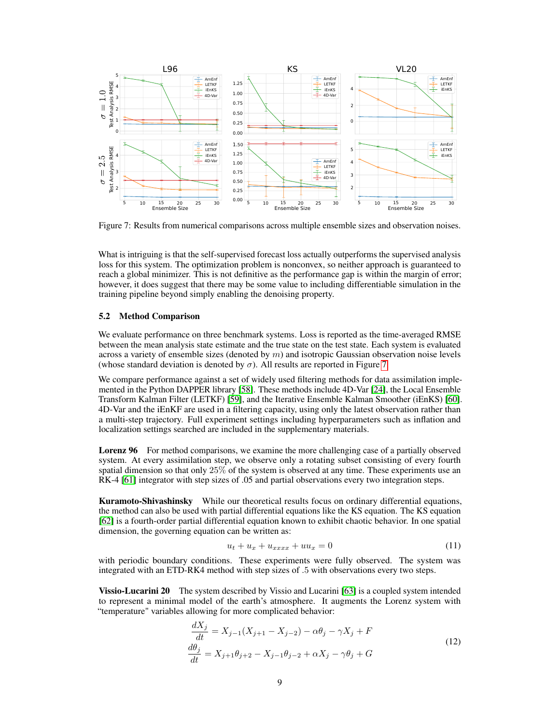<span id="page-8-0"></span>

Figure 7: Results from numerical comparisons across multiple ensemble sizes and observation noises.

What is intriguing is that the self-supervised forecast loss actually outperforms the supervised analysis loss for this system. The optimization problem is nonconvex, so neither approach is guaranteed to reach a global minimizer. This is not definitive as the performance gap is within the margin of error; however, it does suggest that there may be some value to including differentiable simulation in the training pipeline beyond simply enabling the denoising property.

## 5.2 Method Comparison

We evaluate performance on three benchmark systems. Loss is reported as the time-averaged RMSE between the mean analysis state estimate and the true state on the test state. Each system is evaluated across a variety of ensemble sizes (denoted by  $m$ ) and isotropic Gaussian observation noise levels (whose standard deviation is denoted by  $\sigma$ ). All results are reported in Figure [7.](#page-8-0)

We compare performance against a set of widely used filtering methods for data assimilation implemented in the Python DAPPER library [\[58\]](#page-13-4). These methods include 4D-Var [\[24\]](#page-11-2), the Local Ensemble Transform Kalman Filter (LETKF) [\[59\]](#page-13-5), and the Iterative Ensemble Kalman Smoother (iEnKS) [\[60\]](#page-13-6). 4D-Var and the iEnKF are used in a filtering capacity, using only the latest observation rather than a multi-step trajectory. Full experiment settings including hyperparameters such as inflation and localization settings searched are included in the supplementary materials.

Lorenz 96 For method comparisons, we examine the more challenging case of a partially observed system. At every assimilation step, we observe only a rotating subset consisting of every fourth spatial dimension so that only 25% of the system is observed at any time. These experiments use an RK-4 [\[61\]](#page-13-7) integrator with step sizes of .05 and partial observations every two integration steps.

Kuramoto-Shivashinsky While our theoretical results focus on ordinary differential equations, the method can also be used with partial differential equations like the KS equation. The KS equation [\[62\]](#page-13-8) is a fourth-order partial differential equation known to exhibit chaotic behavior. In one spatial dimension, the governing equation can be written as:

$$
u_t + u_x + u_{xxxx} + uu_x = 0 \t\t(11)
$$

with periodic boundary conditions. These experiments were fully observed. The system was integrated with an ETD-RK4 method with step sizes of .5 with observations every two steps.

**Vissio-Lucarini 20** The system described by Vissio and Lucarini [\[63\]](#page-13-9) is a coupled system intended to represent a minimal model of the earth's atmosphere. It augments the Lorenz system with "temperature" variables allowing for more complicated behavior:

$$
\frac{dX_j}{dt} = X_{j-1}(X_{j+1} - X_{j-2}) - \alpha \theta_j - \gamma X_j + F
$$
  
\n
$$
\frac{d\theta_j}{dt} = X_{j+1}\theta_{j+2} - X_{j-1}\theta_{j-2} + \alpha X_j - \gamma \theta_j + G
$$
\n(12)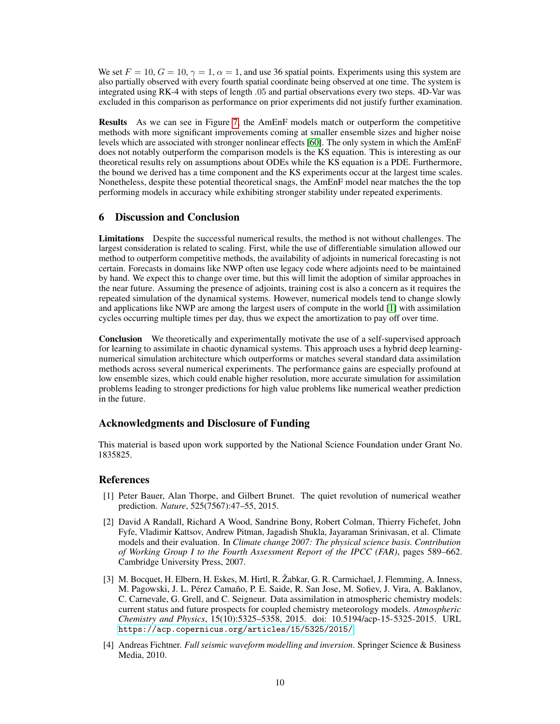We set  $F = 10$ ,  $G = 10$ ,  $\gamma = 1$ ,  $\alpha = 1$ , and use 36 spatial points. Experiments using this system are also partially observed with every fourth spatial coordinate being observed at one time. The system is integrated using RK-4 with steps of length .05 and partial observations every two steps. 4D-Var was excluded in this comparison as performance on prior experiments did not justify further examination.

Results As we can see in Figure [7,](#page-8-0) the AmEnF models match or outperform the competitive methods with more significant improvements coming at smaller ensemble sizes and higher noise levels which are associated with stronger nonlinear effects [\[60\]](#page-13-6). The only system in which the AmEnF does not notably outperform the comparison models is the KS equation. This is interesting as our theoretical results rely on assumptions about ODEs while the KS equation is a PDE. Furthermore, the bound we derived has a time component and the KS experiments occur at the largest time scales. Nonetheless, despite these potential theoretical snags, the AmEnF model near matches the the top performing models in accuracy while exhibiting stronger stability under repeated experiments.

## 6 Discussion and Conclusion

Limitations Despite the successful numerical results, the method is not without challenges. The largest consideration is related to scaling. First, while the use of differentiable simulation allowed our method to outperform competitive methods, the availability of adjoints in numerical forecasting is not certain. Forecasts in domains like NWP often use legacy code where adjoints need to be maintained by hand. We expect this to change over time, but this will limit the adoption of similar approaches in the near future. Assuming the presence of adjoints, training cost is also a concern as it requires the repeated simulation of the dynamical systems. However, numerical models tend to change slowly and applications like NWP are among the largest users of compute in the world [\[1\]](#page-9-0) with assimilation cycles occurring multiple times per day, thus we expect the amortization to pay off over time.

Conclusion We theoretically and experimentally motivate the use of a self-supervised approach for learning to assimilate in chaotic dynamical systems. This approach uses a hybrid deep learningnumerical simulation architecture which outperforms or matches several standard data assimilation methods across several numerical experiments. The performance gains are especially profound at low ensemble sizes, which could enable higher resolution, more accurate simulation for assimilation problems leading to stronger predictions for high value problems like numerical weather prediction in the future.

## Acknowledgments and Disclosure of Funding

This material is based upon work supported by the National Science Foundation under Grant No. 1835825.

## References

- <span id="page-9-0"></span>[1] Peter Bauer, Alan Thorpe, and Gilbert Brunet. The quiet revolution of numerical weather prediction. *Nature*, 525(7567):47–55, 2015.
- <span id="page-9-1"></span>[2] David A Randall, Richard A Wood, Sandrine Bony, Robert Colman, Thierry Fichefet, John Fyfe, Vladimir Kattsov, Andrew Pitman, Jagadish Shukla, Jayaraman Srinivasan, et al. Climate models and their evaluation. In *Climate change 2007: The physical science basis. Contribution of Working Group I to the Fourth Assessment Report of the IPCC (FAR)*, pages 589–662. Cambridge University Press, 2007.
- <span id="page-9-2"></span>[3] M. Bocquet, H. Elbern, H. Eskes, M. Hirtl, R. Žabkar, G. R. Carmichael, J. Flemming, A. Inness, M. Pagowski, J. L. Pérez Camaño, P. E. Saide, R. San Jose, M. Sofiev, J. Vira, A. Baklanov, C. Carnevale, G. Grell, and C. Seigneur. Data assimilation in atmospheric chemistry models: current status and future prospects for coupled chemistry meteorology models. *Atmospheric Chemistry and Physics*, 15(10):5325–5358, 2015. doi: 10.5194/acp-15-5325-2015. URL <https://acp.copernicus.org/articles/15/5325/2015/>.
- <span id="page-9-3"></span>[4] Andreas Fichtner. *Full seismic waveform modelling and inversion*. Springer Science & Business Media, 2010.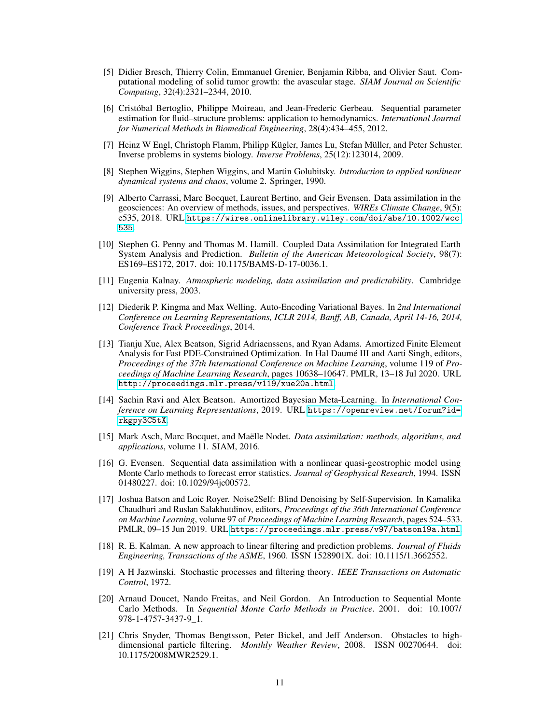- <span id="page-10-0"></span>[5] Didier Bresch, Thierry Colin, Emmanuel Grenier, Benjamin Ribba, and Olivier Saut. Computational modeling of solid tumor growth: the avascular stage. *SIAM Journal on Scientific Computing*, 32(4):2321–2344, 2010.
- [6] Cristóbal Bertoglio, Philippe Moireau, and Jean-Frederic Gerbeau. Sequential parameter estimation for fluid–structure problems: application to hemodynamics. *International Journal for Numerical Methods in Biomedical Engineering*, 28(4):434–455, 2012.
- <span id="page-10-1"></span>[7] Heinz W Engl, Christoph Flamm, Philipp Kügler, James Lu, Stefan Müller, and Peter Schuster. Inverse problems in systems biology. *Inverse Problems*, 25(12):123014, 2009.
- <span id="page-10-2"></span>[8] Stephen Wiggins, Stephen Wiggins, and Martin Golubitsky. *Introduction to applied nonlinear dynamical systems and chaos*, volume 2. Springer, 1990.
- <span id="page-10-3"></span>[9] Alberto Carrassi, Marc Bocquet, Laurent Bertino, and Geir Evensen. Data assimilation in the geosciences: An overview of methods, issues, and perspectives. *WIREs Climate Change*, 9(5): e535, 2018. URL [https://wires.onlinelibrary.wiley.com/doi/abs/10.1002/wcc.](https://wires.onlinelibrary.wiley.com/doi/abs/10.1002/wcc.535) [535](https://wires.onlinelibrary.wiley.com/doi/abs/10.1002/wcc.535).
- <span id="page-10-4"></span>[10] Stephen G. Penny and Thomas M. Hamill. Coupled Data Assimilation for Integrated Earth System Analysis and Prediction. *Bulletin of the American Meteorological Society*, 98(7): ES169–ES172, 2017. doi: 10.1175/BAMS-D-17-0036.1.
- <span id="page-10-5"></span>[11] Eugenia Kalnay. *Atmospheric modeling, data assimilation and predictability*. Cambridge university press, 2003.
- <span id="page-10-6"></span>[12] Diederik P. Kingma and Max Welling. Auto-Encoding Variational Bayes. In *2nd International Conference on Learning Representations, ICLR 2014, Banff, AB, Canada, April 14-16, 2014, Conference Track Proceedings*, 2014.
- <span id="page-10-7"></span>[13] Tianju Xue, Alex Beatson, Sigrid Adriaenssens, and Ryan Adams. Amortized Finite Element Analysis for Fast PDE-Constrained Optimization. In Hal Daumé III and Aarti Singh, editors, *Proceedings of the 37th International Conference on Machine Learning*, volume 119 of *Proceedings of Machine Learning Research*, pages 10638–10647. PMLR, 13–18 Jul 2020. URL <http://proceedings.mlr.press/v119/xue20a.html>.
- <span id="page-10-8"></span>[14] Sachin Ravi and Alex Beatson. Amortized Bayesian Meta-Learning. In *International Conference on Learning Representations*, 2019. URL [https://openreview.net/forum?id=](https://openreview.net/forum?id=rkgpy3C5tX) [rkgpy3C5tX](https://openreview.net/forum?id=rkgpy3C5tX).
- <span id="page-10-9"></span>[15] Mark Asch, Marc Bocquet, and Maëlle Nodet. *Data assimilation: methods, algorithms, and applications*, volume 11. SIAM, 2016.
- <span id="page-10-10"></span>[16] G. Evensen. Sequential data assimilation with a nonlinear quasi-geostrophic model using Monte Carlo methods to forecast error statistics. *Journal of Geophysical Research*, 1994. ISSN 01480227. doi: 10.1029/94jc00572.
- <span id="page-10-11"></span>[17] Joshua Batson and Loic Royer. Noise2Self: Blind Denoising by Self-Supervision. In Kamalika Chaudhuri and Ruslan Salakhutdinov, editors, *Proceedings of the 36th International Conference on Machine Learning*, volume 97 of *Proceedings of Machine Learning Research*, pages 524–533. PMLR, 09–15 Jun 2019. URL <https://proceedings.mlr.press/v97/batson19a.html>.
- <span id="page-10-12"></span>[18] R. E. Kalman. A new approach to linear filtering and prediction problems. *Journal of Fluids Engineering, Transactions of the ASME*, 1960. ISSN 1528901X. doi: 10.1115/1.3662552.
- <span id="page-10-13"></span>[19] A H Jazwinski. Stochastic processes and filtering theory. *IEEE Transactions on Automatic Control*, 1972.
- <span id="page-10-14"></span>[20] Arnaud Doucet, Nando Freitas, and Neil Gordon. An Introduction to Sequential Monte Carlo Methods. In *Sequential Monte Carlo Methods in Practice*. 2001. doi: 10.1007/ 978-1-4757-3437-9\_1.
- <span id="page-10-15"></span>[21] Chris Snyder, Thomas Bengtsson, Peter Bickel, and Jeff Anderson. Obstacles to highdimensional particle filtering. *Monthly Weather Review*, 2008. ISSN 00270644. doi: 10.1175/2008MWR2529.1.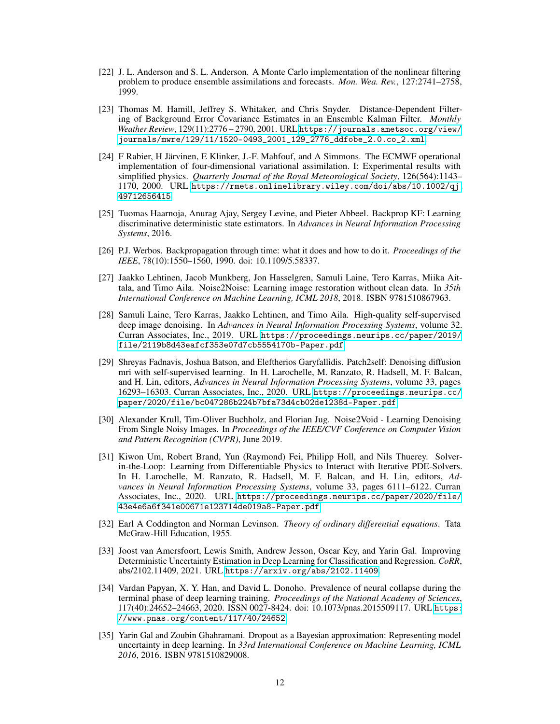- <span id="page-11-0"></span>[22] J. L. Anderson and S. L. Anderson. A Monte Carlo implementation of the nonlinear filtering problem to produce ensemble assimilations and forecasts. *Mon. Wea. Rev.*, 127:2741–2758, 1999.
- <span id="page-11-1"></span>[23] Thomas M. Hamill, Jeffrey S. Whitaker, and Chris Snyder. Distance-Dependent Filtering of Background Error Covariance Estimates in an Ensemble Kalman Filter. *Monthly Weather Review*, 129(11):2776 – 2790, 2001. URL [https://journals.ametsoc.org/view/](https://journals.ametsoc.org/view/journals/mwre/129/11/1520-0493_2001_129_2776_ddfobe_2.0.co_2.xml) [journals/mwre/129/11/1520-0493\\_2001\\_129\\_2776\\_ddfobe\\_2.0.co\\_2.xml](https://journals.ametsoc.org/view/journals/mwre/129/11/1520-0493_2001_129_2776_ddfobe_2.0.co_2.xml).
- <span id="page-11-2"></span>[24] F Rabier, H Järvinen, E Klinker, J.-F. Mahfouf, and A Simmons. The ECMWF operational implementation of four-dimensional variational assimilation. I: Experimental results with simplified physics. *Quarterly Journal of the Royal Meteorological Society*, 126(564):1143– 1170, 2000. URL [https://rmets.onlinelibrary.wiley.com/doi/abs/10.1002/qj.](https://rmets.onlinelibrary.wiley.com/doi/abs/10.1002/qj.49712656415) [49712656415](https://rmets.onlinelibrary.wiley.com/doi/abs/10.1002/qj.49712656415).
- <span id="page-11-3"></span>[25] Tuomas Haarnoja, Anurag Ajay, Sergey Levine, and Pieter Abbeel. Backprop KF: Learning discriminative deterministic state estimators. In *Advances in Neural Information Processing Systems*, 2016.
- <span id="page-11-4"></span>[26] P.J. Werbos. Backpropagation through time: what it does and how to do it. *Proceedings of the IEEE*, 78(10):1550–1560, 1990. doi: 10.1109/5.58337.
- <span id="page-11-5"></span>[27] Jaakko Lehtinen, Jacob Munkberg, Jon Hasselgren, Samuli Laine, Tero Karras, Miika Aittala, and Timo Aila. Noise2Noise: Learning image restoration without clean data. In *35th International Conference on Machine Learning, ICML 2018*, 2018. ISBN 9781510867963.
- <span id="page-11-6"></span>[28] Samuli Laine, Tero Karras, Jaakko Lehtinen, and Timo Aila. High-quality self-supervised deep image denoising. In *Advances in Neural Information Processing Systems*, volume 32. Curran Associates, Inc., 2019. URL [https://proceedings.neurips.cc/paper/2019/](https://proceedings.neurips.cc/paper/2019/file/2119b8d43eafcf353e07d7cb5554170b-Paper.pdf) [file/2119b8d43eafcf353e07d7cb5554170b-Paper.pdf](https://proceedings.neurips.cc/paper/2019/file/2119b8d43eafcf353e07d7cb5554170b-Paper.pdf).
- [29] Shreyas Fadnavis, Joshua Batson, and Eleftherios Garyfallidis. Patch2self: Denoising diffusion mri with self-supervised learning. In H. Larochelle, M. Ranzato, R. Hadsell, M. F. Balcan, and H. Lin, editors, *Advances in Neural Information Processing Systems*, volume 33, pages 16293–16303. Curran Associates, Inc., 2020. URL [https://proceedings.neurips.cc/](https://proceedings.neurips.cc/paper/2020/file/bc047286b224b7bfa73d4cb02de1238d-Paper.pdf) [paper/2020/file/bc047286b224b7bfa73d4cb02de1238d-Paper.pdf](https://proceedings.neurips.cc/paper/2020/file/bc047286b224b7bfa73d4cb02de1238d-Paper.pdf).
- <span id="page-11-7"></span>[30] Alexander Krull, Tim-Oliver Buchholz, and Florian Jug. Noise2Void - Learning Denoising From Single Noisy Images. In *Proceedings of the IEEE/CVF Conference on Computer Vision and Pattern Recognition (CVPR)*, June 2019.
- <span id="page-11-8"></span>[31] Kiwon Um, Robert Brand, Yun (Raymond) Fei, Philipp Holl, and Nils Thuerey. Solverin-the-Loop: Learning from Differentiable Physics to Interact with Iterative PDE-Solvers. In H. Larochelle, M. Ranzato, R. Hadsell, M. F. Balcan, and H. Lin, editors, *Advances in Neural Information Processing Systems*, volume 33, pages 6111–6122. Curran Associates, Inc., 2020. URL [https://proceedings.neurips.cc/paper/2020/file/](https://proceedings.neurips.cc/paper/2020/file/43e4e6a6f341e00671e123714de019a8-Paper.pdf) [43e4e6a6f341e00671e123714de019a8-Paper.pdf](https://proceedings.neurips.cc/paper/2020/file/43e4e6a6f341e00671e123714de019a8-Paper.pdf).
- <span id="page-11-9"></span>[32] Earl A Coddington and Norman Levinson. *Theory of ordinary differential equations*. Tata McGraw-Hill Education, 1955.
- <span id="page-11-10"></span>[33] Joost van Amersfoort, Lewis Smith, Andrew Jesson, Oscar Key, and Yarin Gal. Improving Deterministic Uncertainty Estimation in Deep Learning for Classification and Regression. *CoRR*, abs/2102.11409, 2021. URL <https://arxiv.org/abs/2102.11409>.
- <span id="page-11-11"></span>[34] Vardan Papyan, X. Y. Han, and David L. Donoho. Prevalence of neural collapse during the terminal phase of deep learning training. *Proceedings of the National Academy of Sciences*, 117(40):24652–24663, 2020. ISSN 0027-8424. doi: 10.1073/pnas.2015509117. URL [https:](https://www.pnas.org/content/117/40/24652) [//www.pnas.org/content/117/40/24652](https://www.pnas.org/content/117/40/24652).
- <span id="page-11-12"></span>[35] Yarin Gal and Zoubin Ghahramani. Dropout as a Bayesian approximation: Representing model uncertainty in deep learning. In *33rd International Conference on Machine Learning, ICML 2016*, 2016. ISBN 9781510829008.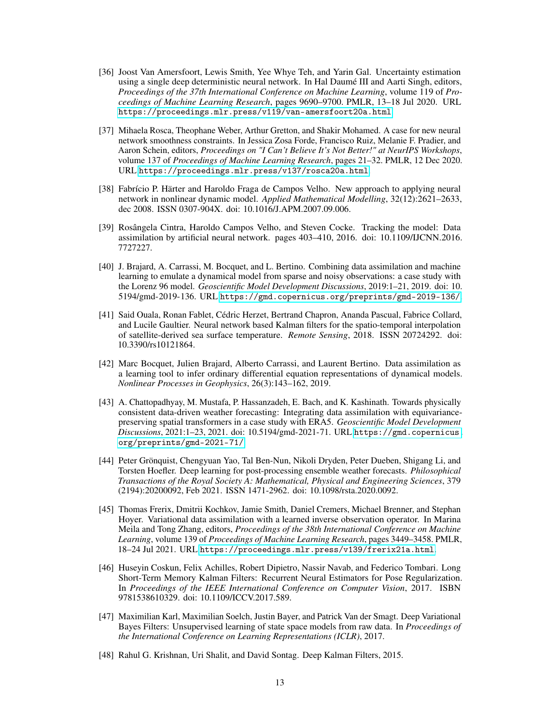- <span id="page-12-0"></span>[36] Joost Van Amersfoort, Lewis Smith, Yee Whye Teh, and Yarin Gal. Uncertainty estimation using a single deep deterministic neural network. In Hal Daumé III and Aarti Singh, editors, *Proceedings of the 37th International Conference on Machine Learning*, volume 119 of *Proceedings of Machine Learning Research*, pages 9690–9700. PMLR, 13–18 Jul 2020. URL <https://proceedings.mlr.press/v119/van-amersfoort20a.html>.
- <span id="page-12-1"></span>[37] Mihaela Rosca, Theophane Weber, Arthur Gretton, and Shakir Mohamed. A case for new neural network smoothness constraints. In Jessica Zosa Forde, Francisco Ruiz, Melanie F. Pradier, and Aaron Schein, editors, *Proceedings on "I Can't Believe It's Not Better!" at NeurIPS Workshops*, volume 137 of *Proceedings of Machine Learning Research*, pages 21–32. PMLR, 12 Dec 2020. URL <https://proceedings.mlr.press/v137/rosca20a.html>.
- <span id="page-12-2"></span>[38] Fabrício P. Härter and Haroldo Fraga de Campos Velho. New approach to applying neural network in nonlinear dynamic model. *Applied Mathematical Modelling*, 32(12):2621–2633, dec 2008. ISSN 0307-904X. doi: 10.1016/J.APM.2007.09.006.
- <span id="page-12-3"></span>[39] Rosângela Cintra, Haroldo Campos Velho, and Steven Cocke. Tracking the model: Data assimilation by artificial neural network. pages 403–410, 2016. doi: 10.1109/IJCNN.2016. 7727227.
- <span id="page-12-4"></span>[40] J. Brajard, A. Carrassi, M. Bocquet, and L. Bertino. Combining data assimilation and machine learning to emulate a dynamical model from sparse and noisy observations: a case study with the Lorenz 96 model. *Geoscientific Model Development Discussions*, 2019:1–21, 2019. doi: 10. 5194/gmd-2019-136. URL <https://gmd.copernicus.org/preprints/gmd-2019-136/>.
- [41] Said Ouala, Ronan Fablet, Cédric Herzet, Bertrand Chapron, Ananda Pascual, Fabrice Collard, and Lucile Gaultier. Neural network based Kalman filters for the spatio-temporal interpolation of satellite-derived sea surface temperature. *Remote Sensing*, 2018. ISSN 20724292. doi: 10.3390/rs10121864.
- [42] Marc Bocquet, Julien Brajard, Alberto Carrassi, and Laurent Bertino. Data assimilation as a learning tool to infer ordinary differential equation representations of dynamical models. *Nonlinear Processes in Geophysics*, 26(3):143–162, 2019.
- <span id="page-12-5"></span>[43] A. Chattopadhyay, M. Mustafa, P. Hassanzadeh, E. Bach, and K. Kashinath. Towards physically consistent data-driven weather forecasting: Integrating data assimilation with equivariancepreserving spatial transformers in a case study with ERA5. *Geoscientific Model Development Discussions*, 2021:1–23, 2021. doi: 10.5194/gmd-2021-71. URL [https://gmd.copernicus.](https://gmd.copernicus.org/preprints/gmd-2021-71/) [org/preprints/gmd-2021-71/](https://gmd.copernicus.org/preprints/gmd-2021-71/).
- <span id="page-12-6"></span>[44] Peter Grönquist, Chengyuan Yao, Tal Ben-Nun, Nikoli Dryden, Peter Dueben, Shigang Li, and Torsten Hoefler. Deep learning for post-processing ensemble weather forecasts. *Philosophical Transactions of the Royal Society A: Mathematical, Physical and Engineering Sciences*, 379 (2194):20200092, Feb 2021. ISSN 1471-2962. doi: 10.1098/rsta.2020.0092.
- <span id="page-12-7"></span>[45] Thomas Frerix, Dmitrii Kochkov, Jamie Smith, Daniel Cremers, Michael Brenner, and Stephan Hoyer. Variational data assimilation with a learned inverse observation operator. In Marina Meila and Tong Zhang, editors, *Proceedings of the 38th International Conference on Machine Learning*, volume 139 of *Proceedings of Machine Learning Research*, pages 3449–3458. PMLR, 18–24 Jul 2021. URL <https://proceedings.mlr.press/v139/frerix21a.html>.
- <span id="page-12-8"></span>[46] Huseyin Coskun, Felix Achilles, Robert Dipietro, Nassir Navab, and Federico Tombari. Long Short-Term Memory Kalman Filters: Recurrent Neural Estimators for Pose Regularization. In *Proceedings of the IEEE International Conference on Computer Vision*, 2017. ISBN 9781538610329. doi: 10.1109/ICCV.2017.589.
- [47] Maximilian Karl, Maximilian Soelch, Justin Bayer, and Patrick Van der Smagt. Deep Variational Bayes Filters: Unsupervised learning of state space models from raw data. In *Proceedings of the International Conference on Learning Representations (ICLR)*, 2017.
- [48] Rahul G. Krishnan, Uri Shalit, and David Sontag. Deep Kalman Filters, 2015.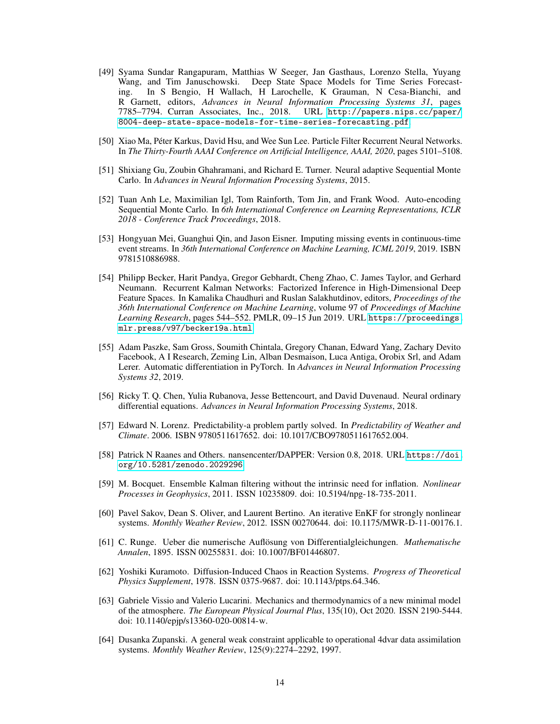- [49] Syama Sundar Rangapuram, Matthias W Seeger, Jan Gasthaus, Lorenzo Stella, Yuyang Wang, and Tim Januschowski. Deep State Space Models for Time Series Forecasting. In S Bengio, H Wallach, H Larochelle, K Grauman, N Cesa-Bianchi, and R Garnett, editors, *Advances in Neural Information Processing Systems 31*, pages 7785–7794. Curran Associates, Inc., 2018. [8004-deep-state-space-models-for-time-series-forecasting.pdf](http://papers.nips.cc/paper/8004-deep-state-space-models-for-time-series-forecasting.pdf).
- [50] Xiao Ma, Péter Karkus, David Hsu, and Wee Sun Lee. Particle Filter Recurrent Neural Networks. In *The Thirty-Fourth AAAI Conference on Artificial Intelligence, AAAI, 2020*, pages 5101–5108.
- [51] Shixiang Gu, Zoubin Ghahramani, and Richard E. Turner. Neural adaptive Sequential Monte Carlo. In *Advances in Neural Information Processing Systems*, 2015.
- [52] Tuan Anh Le, Maximilian Igl, Tom Rainforth, Tom Jin, and Frank Wood. Auto-encoding Sequential Monte Carlo. In *6th International Conference on Learning Representations, ICLR 2018 - Conference Track Proceedings*, 2018.
- [53] Hongyuan Mei, Guanghui Qin, and Jason Eisner. Imputing missing events in continuous-time event streams. In *36th International Conference on Machine Learning, ICML 2019*, 2019. ISBN 9781510886988.
- <span id="page-13-0"></span>[54] Philipp Becker, Harit Pandya, Gregor Gebhardt, Cheng Zhao, C. James Taylor, and Gerhard Neumann. Recurrent Kalman Networks: Factorized Inference in High-Dimensional Deep Feature Spaces. In Kamalika Chaudhuri and Ruslan Salakhutdinov, editors, *Proceedings of the 36th International Conference on Machine Learning*, volume 97 of *Proceedings of Machine Learning Research*, pages 544–552. PMLR, 09–15 Jun 2019. URL [https://proceedings.](https://proceedings.mlr.press/v97/becker19a.html) [mlr.press/v97/becker19a.html](https://proceedings.mlr.press/v97/becker19a.html).
- <span id="page-13-1"></span>[55] Adam Paszke, Sam Gross, Soumith Chintala, Gregory Chanan, Edward Yang, Zachary Devito Facebook, A I Research, Zeming Lin, Alban Desmaison, Luca Antiga, Orobix Srl, and Adam Lerer. Automatic differentiation in PyTorch. In *Advances in Neural Information Processing Systems 32*, 2019.
- <span id="page-13-2"></span>[56] Ricky T. Q. Chen, Yulia Rubanova, Jesse Bettencourt, and David Duvenaud. Neural ordinary differential equations. *Advances in Neural Information Processing Systems*, 2018.
- <span id="page-13-3"></span>[57] Edward N. Lorenz. Predictability-a problem partly solved. In *Predictability of Weather and Climate*. 2006. ISBN 9780511617652. doi: 10.1017/CBO9780511617652.004.
- <span id="page-13-4"></span>[58] Patrick N Raanes and Others. nansencenter/DAPPER: Version 0.8, 2018. URL [https://doi.](https://doi.org/10.5281/zenodo.2029296) [org/10.5281/zenodo.2029296](https://doi.org/10.5281/zenodo.2029296).
- <span id="page-13-5"></span>[59] M. Bocquet. Ensemble Kalman filtering without the intrinsic need for inflation. *Nonlinear Processes in Geophysics*, 2011. ISSN 10235809. doi: 10.5194/npg-18-735-2011.
- <span id="page-13-6"></span>[60] Pavel Sakov, Dean S. Oliver, and Laurent Bertino. An iterative EnKF for strongly nonlinear systems. *Monthly Weather Review*, 2012. ISSN 00270644. doi: 10.1175/MWR-D-11-00176.1.
- <span id="page-13-7"></span>[61] C. Runge. Ueber die numerische Auflösung von Differentialgleichungen. *Mathematische Annalen*, 1895. ISSN 00255831. doi: 10.1007/BF01446807.
- <span id="page-13-8"></span>[62] Yoshiki Kuramoto. Diffusion-Induced Chaos in Reaction Systems. *Progress of Theoretical Physics Supplement*, 1978. ISSN 0375-9687. doi: 10.1143/ptps.64.346.
- <span id="page-13-9"></span>[63] Gabriele Vissio and Valerio Lucarini. Mechanics and thermodynamics of a new minimal model of the atmosphere. *The European Physical Journal Plus*, 135(10), Oct 2020. ISSN 2190-5444. doi: 10.1140/epjp/s13360-020-00814-w.
- <span id="page-13-10"></span>[64] Dusanka Zupanski. A general weak constraint applicable to operational 4dvar data assimilation systems. *Monthly Weather Review*, 125(9):2274–2292, 1997.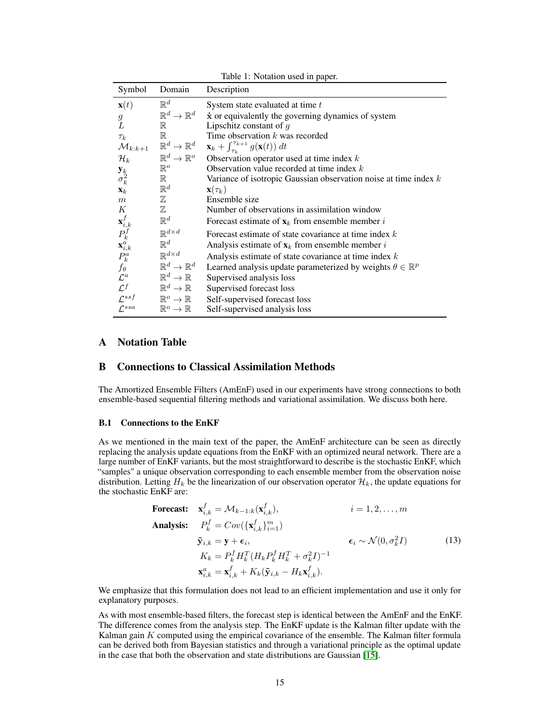| Description<br>Symbol<br>Domain                                                                                                           |  |
|-------------------------------------------------------------------------------------------------------------------------------------------|--|
| $\mathbb{R}^d$<br>$\mathbf{x}(t)$<br>System state evaluated at time $t$                                                                   |  |
| $\mathbb{R}^d \to \mathbb{R}^d$<br>$\dot{x}$ or equivalently the governing dynamics of system<br>$\mathfrak g$                            |  |
| L<br>Lipschitz constant of $q$<br>$\mathbb R$                                                                                             |  |
| Time observation $k$ was recorded<br>$\mathbb R$<br>$\tau_k$                                                                              |  |
| $\mathbb{R}^d \to \mathbb{R}^d$<br>$\mathbf{x}_k + \int_{\tau_k}^{\tau_{k+1}} g(\mathbf{x}(t)) dt$<br>$\mathcal{M}_{k:k+1}$               |  |
| $\mathbb{R}^d \to \mathbb{R}^o$<br>$\mathcal{H}_k$<br>Observation operator used at time index $k$                                         |  |
| $\mathbb{R}^o$<br>Observation value recorded at time index $k$                                                                            |  |
| $\mathbf{y}_k \\ \sigma_k^2$<br>$\mathbb R$<br>Variance of isotropic Gaussian observation noise at time index $k$                         |  |
| $\mathbb{R}^d$<br>$\mathbf{x}(\tau_k)$<br>$\mathbf{X}_k$                                                                                  |  |
| $\mathbb Z$<br>Ensemble size<br>$\boldsymbol{m}$                                                                                          |  |
| $\mathbb Z$<br>$\boldsymbol{K}$<br>Number of observations in assimilation window                                                          |  |
| $\mathbf{x}_{i,k}^f \ P_k^f \ \mathbf{x}_{i,k}^a \ P_k^a$<br>$\mathbb{R}^d$<br>Forecast estimate of $\mathbf{x}_k$ from ensemble member i |  |
| $\mathbb{R}^{d \times d}$<br>Forecast estimate of state covariance at time index $k$                                                      |  |
| $\mathbb{R}^d$<br>Analysis estimate of $\mathbf{x}_k$ from ensemble member i                                                              |  |
| $\mathbb{R}^{d \times d}$<br>Analysis estimate of state covariance at time index $k$                                                      |  |
| $\mathbb{R}^d \to \mathbb{R}^d$<br>Learned analysis update parameterized by weights $\theta \in \mathbb{R}^p$                             |  |
| $f_{\theta}$ <sub><math>\mathcal{L}^{a}</math></sub><br>$\mathbb{R}^d \to \mathbb{R}$<br>Supervised analysis loss                         |  |
| $\mathcal{L}^f$<br>$\mathbb{R}^d \to \mathbb{R}$<br>Supervised forecast loss                                                              |  |
| $\mathcal{L}^{sst}$<br>$\mathbb{R}^o \to \mathbb{R}$<br>Self-supervised forecast loss                                                     |  |
| $\mathcal{L}^{ssa}$<br>$\mathbb{R}^o \to \mathbb{R}$<br>Self-supervised analysis loss                                                     |  |

Table 1: Notation used in paper.

# A Notation Table

## B Connections to Classical Assimilation Methods

The Amortized Ensemble Filters (AmEnF) used in our experiments have strong connections to both ensemble-based sequential filtering methods and variational assimilation. We discuss both here.

## B.1 Connections to the EnKF

As we mentioned in the main text of the paper, the AmEnF architecture can be seen as directly replacing the analysis update equations from the EnKF with an optimized neural network. There are a large number of EnKF variants, but the most straightforward to describe is the stochastic EnKF, which "samples" a unique observation corresponding to each ensemble member from the observation noise distribution. Letting  $H_k$  be the linearization of our observation operator  $\mathcal{H}_k$ , the update equations for the stochastic EnKF are:

**Forecast:**

\n
$$
\mathbf{x}_{i,k}^{f} = \mathcal{M}_{k-1:k}(\mathbf{x}_{i,k}^{f}), \qquad i = 1, 2, \ldots, m
$$
\n**Analysis:**

\n
$$
P_{k}^{f} = Cov(\{\mathbf{x}_{i,k}^{f}\}_{i=1}^{m})
$$
\n
$$
\tilde{\mathbf{y}}_{i,k} = \mathbf{y} + \epsilon_{i}, \qquad \epsilon_{i} \sim \mathcal{N}(0, \sigma_{k}^{2}I)
$$
\n
$$
K_{k} = P_{k}^{f} H_{k}^{T} (H_{k} P_{k}^{f} H_{k}^{T} + \sigma_{k}^{2}I)^{-1}
$$
\n
$$
\mathbf{x}_{i,k}^{a} = \mathbf{x}_{i,k}^{f} + K_{k}(\tilde{\mathbf{y}}_{i,k} - H_{k}\mathbf{x}_{i,k}^{f}).
$$
\n
$$
(13)
$$

We emphasize that this formulation does not lead to an efficient implementation and use it only for explanatory purposes.

As with most ensemble-based filters, the forecast step is identical between the AmEnF and the EnKF. The difference comes from the analysis step. The EnKF update is the Kalman filter update with the Kalman gain  $K$  computed using the empirical covariance of the ensemble. The Kalman filter formula can be derived both from Bayesian statistics and through a variational principle as the optimal update in the case that both the observation and state distributions are Gaussian [\[15\]](#page-10-9).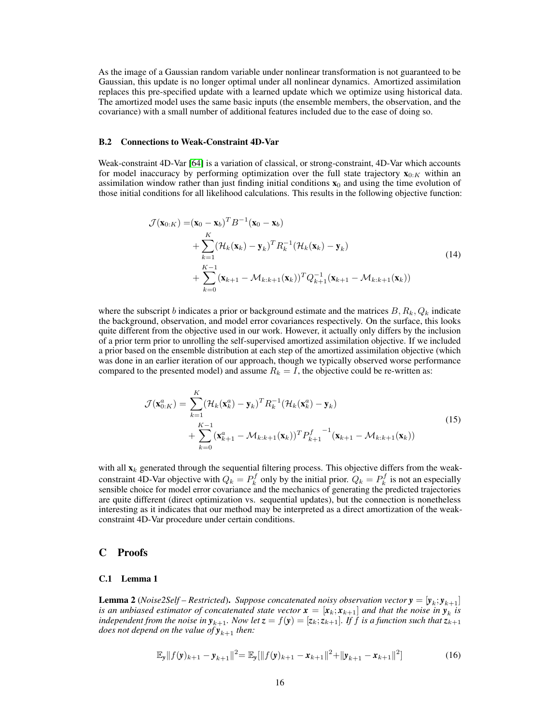As the image of a Gaussian random variable under nonlinear transformation is not guaranteed to be Gaussian, this update is no longer optimal under all nonlinear dynamics. Amortized assimilation replaces this pre-specified update with a learned update which we optimize using historical data. The amortized model uses the same basic inputs (the ensemble members, the observation, and the covariance) with a small number of additional features included due to the ease of doing so.

#### B.2 Connections to Weak-Constraint 4D-Var

Weak-constraint 4D-Var [\[64\]](#page-13-10) is a variation of classical, or strong-constraint, 4D-Var which accounts for model inaccuracy by performing optimization over the full state trajectory  $\mathbf{x}_{0:K}$  within an assimilation window rather than just finding initial conditions  $x_0$  and using the time evolution of those initial conditions for all likelihood calculations. This results in the following objective function:

$$
\mathcal{J}(\mathbf{x}_{0:K}) = (\mathbf{x}_0 - \mathbf{x}_b)^T B^{-1} (\mathbf{x}_0 - \mathbf{x}_b)
$$
  
+ 
$$
\sum_{k=1}^K (\mathcal{H}_k(\mathbf{x}_k) - \mathbf{y}_k)^T R_k^{-1} (\mathcal{H}_k(\mathbf{x}_k) - \mathbf{y}_k)
$$
  
+ 
$$
\sum_{k=0}^{K-1} (\mathbf{x}_{k+1} - \mathcal{M}_{k:k+1}(\mathbf{x}_k))^T Q_{k+1}^{-1} (\mathbf{x}_{k+1} - \mathcal{M}_{k:k+1}(\mathbf{x}_k))
$$
 (14)

where the subscript b indicates a prior or background estimate and the matrices  $B, R_k, Q_k$  indicate the background, observation, and model error covariances respectively. On the surface, this looks quite different from the objective used in our work. However, it actually only differs by the inclusion of a prior term prior to unrolling the self-supervised amortized assimilation objective. If we included a prior based on the ensemble distribution at each step of the amortized assimilation objective (which was done in an earlier iteration of our approach, though we typically observed worse performance compared to the presented model) and assume  $R_k = I$ , the objective could be re-written as:

$$
\mathcal{J}(\mathbf{x}_{0:K}^{a}) = \sum_{k=1}^{K} (\mathcal{H}_{k}(\mathbf{x}_{k}^{a}) - \mathbf{y}_{k})^{T} R_{k}^{-1} (\mathcal{H}_{k}(\mathbf{x}_{k}^{a}) - \mathbf{y}_{k}) + \sum_{k=0}^{K-1} (\mathbf{x}_{k+1}^{a} - \mathcal{M}_{k:k+1}(\mathbf{x}_{k}))^{T} P_{k+1}^{f}^{-1} (\mathbf{x}_{k+1} - \mathcal{M}_{k:k+1}(\mathbf{x}_{k}))
$$
\n(15)

with all  $\mathbf{x}_k$  generated through the sequential filtering process. This objective differs from the weakconstraint 4D-Var objective with  $Q_k = P_k^f$  only by the initial prior.  $Q_k = P_k^f$  is not an especially sensible choice for model error covariance and the mechanics of generating the predicted trajectories are quite different (direct optimization vs. sequential updates), but the connection is nonetheless interesting as it indicates that our method may be interpreted as a direct amortization of the weakconstraint 4D-Var procedure under certain conditions.

## C Proofs

#### C.1 Lemma 1

<span id="page-15-0"></span>**Lemma 2** (*Noise2Self* – *Restricted*). *Suppose concatenated noisy observation vector*  $y = [y_k; y_{k+1}]$ *is an unbiased estimator of concatenated state vector*  $\mathbf{x} = [\mathbf{x}_k; \mathbf{x}_{k+1}]$  and that the noise in  $\mathbf{y}_k$  is *independent from the noise in*  $y_{k+1}$ *. Now let*  $z = f(y) = [z_k; z_{k+1}]$ *. If f is a function such that*  $z_{k+1}$ *does not depend on the value of*  $y_{k+1}$  *then:* 

$$
\mathbb{E}_{\mathbf{y}}||f(\mathbf{y})_{k+1} - \mathbf{y}_{k+1}||^2 = \mathbb{E}_{\mathbf{y}}[||f(\mathbf{y})_{k+1} - \mathbf{x}_{k+1}||^2 + ||\mathbf{y}_{k+1} - \mathbf{x}_{k+1}||^2]
$$
(16)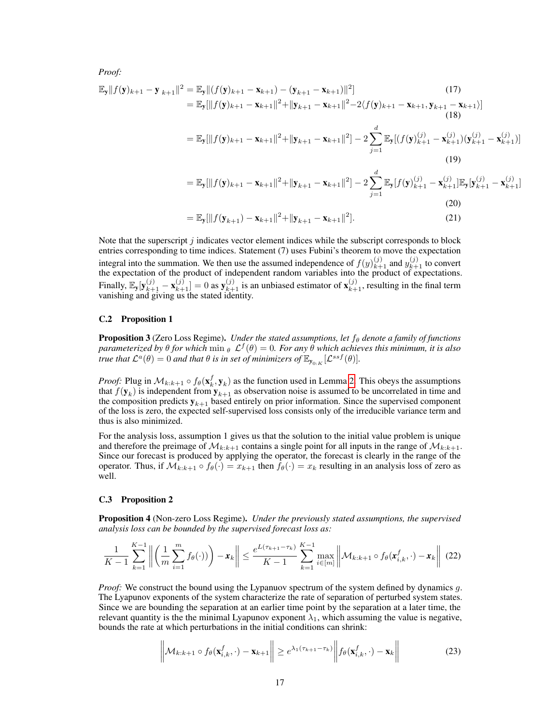*Proof:*

$$
\mathbb{E}_{\mathbf{y}}||f(\mathbf{y})_{k+1} - \mathbf{y}_{k+1}||^{2} = \mathbb{E}_{\mathbf{y}}||(f(\mathbf{y})_{k+1} - \mathbf{x}_{k+1}) - (\mathbf{y}_{k+1} - \mathbf{x}_{k+1})||^{2}](17)
$$
\n
$$
= \mathbb{E}_{\mathbf{y}}[||f(\mathbf{y})_{k+1} - \mathbf{x}_{k+1}||^{2} + ||\mathbf{y}_{k+1} - \mathbf{x}_{k+1}||^{2} - 2\langle f(\mathbf{y})_{k+1} - \mathbf{x}_{k+1}, \mathbf{y}_{k+1} - \mathbf{x}_{k+1}\rangle] \tag{18}
$$
\n
$$
= \mathbb{E}_{\mathbf{y}}[||f(\mathbf{y})_{k+1} - \mathbf{x}_{k+1}||^{2} + ||\mathbf{y}_{k+1} - \mathbf{x}_{k+1}||^{2}] - 2\sum_{j=1}^{d} \mathbb{E}_{\mathbf{y}}[(f(\mathbf{y})_{k+1}^{(j)} - \mathbf{x}_{k+1}^{(j)}) (\mathbf{y}_{k+1}^{(j)} - \mathbf{x}_{k+1}^{(j)})]
$$
\n
$$
= \mathbb{E}_{\mathbf{y}}[||f(\mathbf{y})_{k+1} - \mathbf{x}_{k+1}||^{2} + ||\mathbf{y}_{k+1} - \mathbf{x}_{k+1}||^{2}] - 2\sum_{j=1}^{d} \mathbb{E}_{\mathbf{y}}[f(\mathbf{y})_{k+1}^{(j)} - \mathbf{x}_{k+1}^{(j)}] \mathbb{E}_{\mathbf{y}}[\mathbf{y}_{k+1}^{(j)} - \mathbf{x}_{k+1}^{(j)}]
$$
\n(19)

$$
(20)
$$

$$
= \mathbb{E}_{\mathbf{y}}[\|f(\mathbf{y}_{k+1}) - \mathbf{x}_{k+1}\|^2 + \|\mathbf{y}_{k+1} - \mathbf{x}_{k+1}\|^2].
$$
\n(21)

Note that the superscript  $j$  indicates vector element indices while the subscript corresponds to block entries corresponding to time indices. Statement (7) uses Fubini's theorem to move the expectation integral into the summation. We then use the assumed independence of  $f(y)_{k+1}^{(j)}$  and  $y_{k+1}^{(j)}$  to convert the expectation of the product of independent random variables into the product of expectations. Finally,  $\mathbb{E}_y[\mathbf{y}_{k+1}^{(j)} - \mathbf{x}_{k+1}^{(j)}] = 0$  as  $\mathbf{y}_{k+1}^{(j)}$  is an unbiased estimator of  $\mathbf{x}_{k+1}^{(j)}$ , resulting in the final term vanishing and giving us the stated identity.

#### C.2 Proposition 1

Proposition 3 (Zero Loss Regime). *Under the stated assumptions, let*  $f_\theta$  *denote a family of functions*  $\alpha$ *parameterized by*  $\theta$  *for which*  $\min_{\theta} \mathcal{L}^f(\theta) = 0$ . For any  $\hat{\theta}$  which achieves this minimum, it is also *true that*  $\mathcal{L}^a(\theta) = 0$  *and that*  $\theta$  *is in set of minimizers of*  $\mathbb{E}_{y_{0:K}}[\mathcal{L}^{ssf}(\theta)].$ 

*Proof:* Plug in  $\mathcal{M}_{k:k+1} \circ f_{\theta}(\mathbf{x}_k^f, \mathbf{y}_k)$  as the function used in Lemma [2.](#page-15-0) This obeys the assumptions that  $f(\mathbf{y}_k)$  is independent from  $\mathbf{y}_{k+1}$  as observation noise is assumed to be uncorrelated in time and the composition predicts  $y_{k+1}$  based entirely on prior information. Since the supervised component of the loss is zero, the expected self-supervised loss consists only of the irreducible variance term and thus is also minimized.

For the analysis loss, assumption 1 gives us that the solution to the initial value problem is unique and therefore the preimage of  $\mathcal{M}_{k:k+1}$  contains a single point for all inputs in the range of  $\mathcal{M}_{k:k+1}$ . Since our forecast is produced by applying the operator, the forecast is clearly in the range of the operator. Thus, if  $\mathcal{M}_{k:k+1} \circ f_{\theta}(\cdot) = x_{k+1}$  then  $f_{\theta}(\cdot) = x_k$  resulting in an analysis loss of zero as well.

#### C.3 Proposition 2

Proposition 4 (Non-zero Loss Regime). *Under the previously stated assumptions, the supervised analysis loss can be bounded by the supervised forecast loss as:*

$$
\frac{1}{K-1}\sum_{k=1}^{K-1}\left\|\left(\frac{1}{m}\sum_{i=1}^m f_{\theta}(\cdot)\right)\right)-\mathbf{x}_k\right\| \le \frac{e^{L(\tau_{k+1}-\tau_k)}}{K-1}\sum_{k=1}^{K-1}\max_{i\in[m]}\left\|\mathcal{M}_{k:k+1}\circ f_{\theta}(\mathbf{x}_{i,k}^f,\cdot)-\mathbf{x}_k\right\| \tag{22}
$$

*Proof:* We construct the bound using the Lypanuov spectrum of the system defined by dynamics g. The Lyapunov exponents of the system characterize the rate of separation of perturbed system states. Since we are bounding the separation at an earlier time point by the separation at a later time, the relevant quantity is the the minimal Lyapunov exponent  $\lambda_1$ , which assuming the value is negative, bounds the rate at which perturbations in the initial conditions can shrink:

$$
\left\|\mathcal{M}_{k:k+1} \circ f_{\theta}(\mathbf{x}_{i,k}^f, \cdot) - \mathbf{x}_{k+1}\right\| \geq e^{\lambda_1(\tau_{k+1} - \tau_k)} \left\| f_{\theta}(\mathbf{x}_{i,k}^f, \cdot) - \mathbf{x}_k\right\| \tag{23}
$$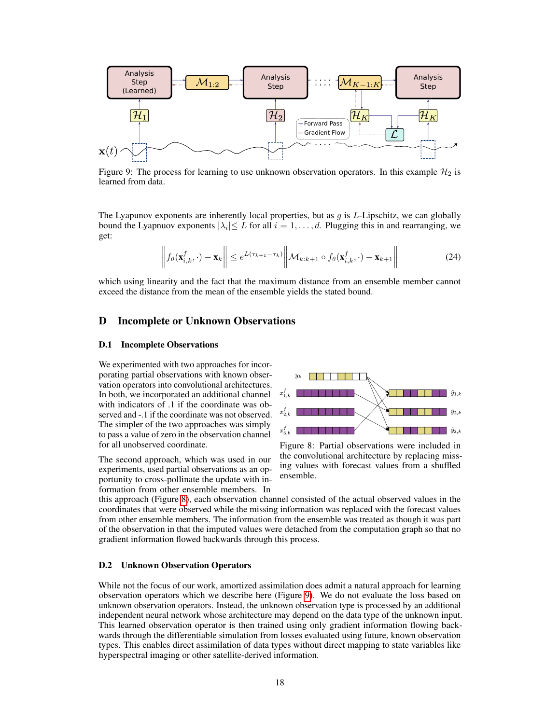<span id="page-17-1"></span>

Figure 9: The process for learning to use unknown observation operators. In this example  $\mathcal{H}_2$  is learned from data.

The Lyapunov exponents are inherently local properties, but as  $g$  is  $L$ -Lipschitz, we can globally bound the Lyapnuov exponents  $|\lambda_i| \leq L$  for all  $i = 1, \dots, d$ . Plugging this in and rearranging, we get:

$$
\left\| f_{\theta}(\mathbf{x}_{i,k}^f, \cdot) - \mathbf{x}_k \right\| \leq e^{L(\tau_{k+1} - \tau_k)} \left\| \mathcal{M}_{k:k+1} \circ f_{\theta}(\mathbf{x}_{i,k}^f, \cdot) - \mathbf{x}_{k+1} \right\| \tag{24}
$$

which using linearity and the fact that the maximum distance from an ensemble member cannot exceed the distance from the mean of the ensemble yields the stated bound.

## D Incomplete or Unknown Observations

#### D.1 Incomplete Observations

We experimented with two approaches for incorporating partial observations with known observation operators into convolutional architectures. In both, we incorporated an additional channel with indicators of .1 if the coordinate was observed and -.1 if the coordinate was not observed. The simpler of the two approaches was simply to pass a value of zero in the observation channel for all unobserved coordinate.

The second approach, which was used in our experiments, used partial observations as an opportunity to cross-pollinate the update with information from other ensemble members. In

<span id="page-17-0"></span>

Figure 8: Partial observations were included in the convolutional architecture by replacing missing values with forecast values from a shuffled ensemble.

this approach (Figure [8\)](#page-17-0), each observation channel consisted of the actual observed values in the coordinates that were observed while the missing information was replaced with the forecast values from other ensemble members. The information from the ensemble was treated as though it was part of the observation in that the imputed values were detached from the computation graph so that no gradient information flowed backwards through this process.

#### D.2 Unknown Observation Operators

While not the focus of our work, amortized assimilation does admit a natural approach for learning observation operators which we describe here (Figure [9\)](#page-17-1). We do not evaluate the loss based on unknown observation operators. Instead, the unknown observation type is processed by an additional independent neural network whose architecture may depend on the data type of the unknown input. This learned observation operator is then trained using only gradient information flowing backwards through the differentiable simulation from losses evaluated using future, known observation types. This enables direct assimilation of data types without direct mapping to state variables like hyperspectral imaging or other satellite-derived information.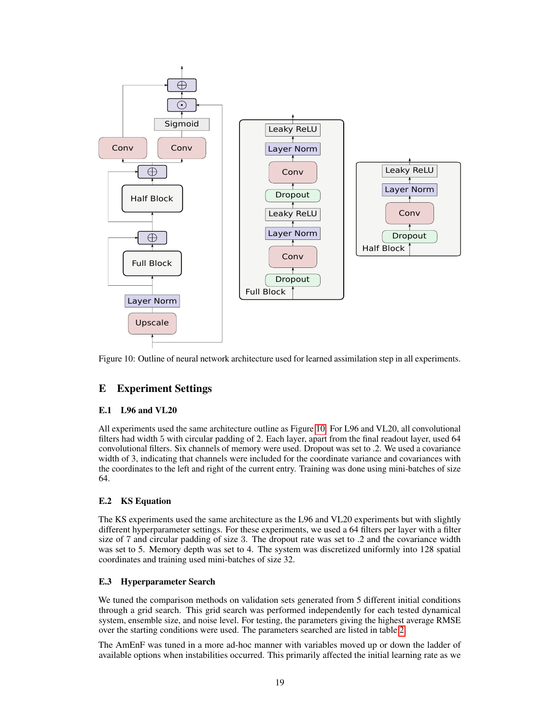<span id="page-18-0"></span>

Figure 10: Outline of neural network architecture used for learned assimilation step in all experiments.

# E Experiment Settings

## E.1 L96 and VL20

All experiments used the same architecture outline as Figure [10.](#page-18-0) For L96 and VL20, all convolutional filters had width 5 with circular padding of 2. Each layer, apart from the final readout layer, used 64 convolutional filters. Six channels of memory were used. Dropout was set to .2. We used a covariance width of 3, indicating that channels were included for the coordinate variance and covariances with the coordinates to the left and right of the current entry. Training was done using mini-batches of size 64.

## E.2 KS Equation

The KS experiments used the same architecture as the L96 and VL20 experiments but with slightly different hyperparameter settings. For these experiments, we used a 64 filters per layer with a filter size of 7 and circular padding of size 3. The dropout rate was set to .2 and the covariance width was set to 5. Memory depth was set to 4. The system was discretized uniformly into 128 spatial coordinates and training used mini-batches of size 32.

## E.3 Hyperparameter Search

We tuned the comparison methods on validation sets generated from 5 different initial conditions through a grid search. This grid search was performed independently for each tested dynamical system, ensemble size, and noise level. For testing, the parameters giving the highest average RMSE over the starting conditions were used. The parameters searched are listed in table [2.](#page-19-0)

The AmEnF was tuned in a more ad-hoc manner with variables moved up or down the ladder of available options when instabilities occurred. This primarily affected the initial learning rate as we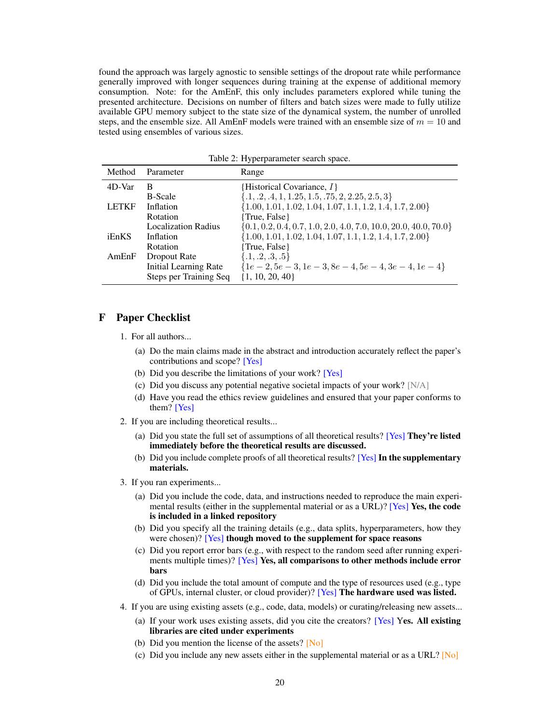found the approach was largely agnostic to sensible settings of the dropout rate while performance generally improved with longer sequences during training at the expense of additional memory consumption. Note: for the AmEnF, this only includes parameters explored while tuning the presented architecture. Decisions on number of filters and batch sizes were made to fully utilize available GPU memory subject to the state size of the dynamical system, the number of unrolled steps, and the ensemble size. All AmEnF models were trained with an ensemble size of  $m = 10$  and tested using ensembles of various sizes.

<span id="page-19-0"></span>

| Method       | Parameter                  | Range                                                                |
|--------------|----------------------------|----------------------------------------------------------------------|
| 4D-Var       | B                          | {Historical Covariance, $I$ }                                        |
|              | <b>B-Scale</b>             | $\{.1, .2, .4, 1, 1.25, 1.5, .75, 2, 2.25, 2.5, 3\}$                 |
| <b>LETKF</b> | Inflation                  | $\{1.00, 1.01, 1.02, 1.04, 1.07, 1.1, 1.2, 1.4, 1.7, 2.00\}$         |
|              | Rotation                   | {True, False}                                                        |
|              | <b>Localization Radius</b> | $\{0.1, 0.2, 0.4, 0.7, 1.0, 2.0, 4.0, 7.0, 10.0, 20.0, 40.0, 70.0\}$ |
| iEnKS        | Inflation                  | $\{1.00, 1.01, 1.02, 1.04, 1.07, 1.1, 1.2, 1.4, 1.7, 2.00\}$         |
|              | Rotation                   | {True, False}                                                        |
| AmEnF        | Dropout Rate               | $\{.1, .2, .3, .5\}$                                                 |
|              | Initial Learning Rate      | ${1e-2, 5e-3, 1e-3, 8e-4, 5e-4, 3e-4, 1e-4}$                         |
|              | Steps per Training Seq     | $\{1, 10, 20, 40\}$                                                  |

Table 2: Hyperparameter search space.

## F Paper Checklist

- 1. For all authors...
	- (a) Do the main claims made in the abstract and introduction accurately reflect the paper's contributions and scope? [Yes]
	- (b) Did you describe the limitations of your work? [Yes]
	- (c) Did you discuss any potential negative societal impacts of your work? [N/A]
	- (d) Have you read the ethics review guidelines and ensured that your paper conforms to them? [Yes]
- 2. If you are including theoretical results...
	- (a) Did you state the full set of assumptions of all theoretical results? [Yes] They're listed immediately before the theoretical results are discussed.
	- (b) Did you include complete proofs of all theoretical results? [Yes] In the supplementary materials.
- 3. If you ran experiments...
	- (a) Did you include the code, data, and instructions needed to reproduce the main experimental results (either in the supplemental material or as a URL)? [Yes] Yes, the code is included in a linked repository
	- (b) Did you specify all the training details (e.g., data splits, hyperparameters, how they were chosen)? [Yes] though moved to the supplement for space reasons
	- (c) Did you report error bars (e.g., with respect to the random seed after running experiments multiple times)? [Yes] Yes, all comparisons to other methods include error bars
	- (d) Did you include the total amount of compute and the type of resources used (e.g., type of GPUs, internal cluster, or cloud provider)? [Yes] The hardware used was listed.
- 4. If you are using existing assets (e.g., code, data, models) or curating/releasing new assets...
	- (a) If your work uses existing assets, did you cite the creators? [Yes] Yes. All existing libraries are cited under experiments
	- (b) Did you mention the license of the assets?  $[N<sub>o</sub>]$
	- (c) Did you include any new assets either in the supplemental material or as a URL? [No]